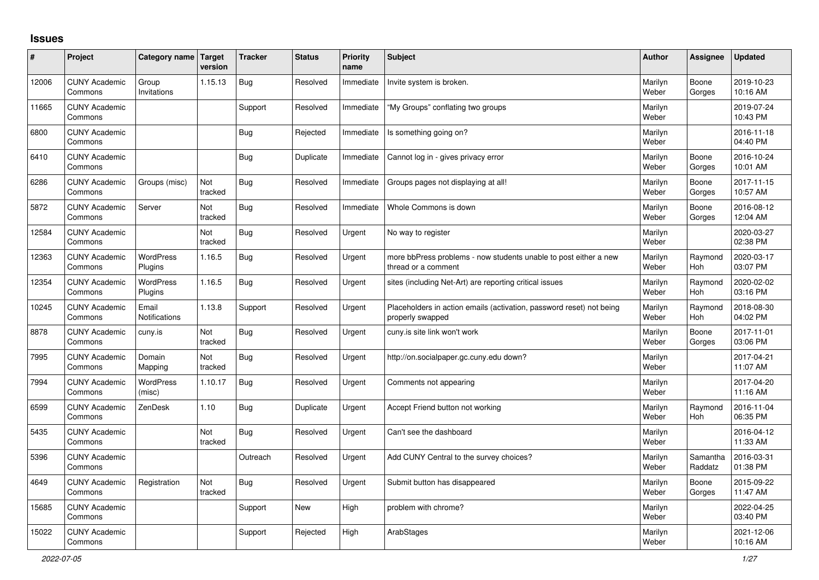## **Issues**

| ∦     | Project                         | Category name Target        | version        | <b>Tracker</b> | <b>Status</b> | <b>Priority</b><br>name | <b>Subject</b>                                                                           | <b>Author</b>    | Assignee              | <b>Updated</b>         |
|-------|---------------------------------|-----------------------------|----------------|----------------|---------------|-------------------------|------------------------------------------------------------------------------------------|------------------|-----------------------|------------------------|
| 12006 | <b>CUNY Academic</b><br>Commons | Group<br>Invitations        | 1.15.13        | <b>Bug</b>     | Resolved      | Immediate               | Invite system is broken.                                                                 | Marilyn<br>Weber | Boone<br>Gorges       | 2019-10-23<br>10:16 AM |
| 11665 | <b>CUNY Academic</b><br>Commons |                             |                | Support        | Resolved      | Immediate               | "My Groups" conflating two groups                                                        | Marilyn<br>Weber |                       | 2019-07-24<br>10:43 PM |
| 6800  | <b>CUNY Academic</b><br>Commons |                             |                | <b>Bug</b>     | Rejected      | Immediate               | Is something going on?                                                                   | Marilyn<br>Weber |                       | 2016-11-18<br>04:40 PM |
| 6410  | <b>CUNY Academic</b><br>Commons |                             |                | <b>Bug</b>     | Duplicate     | Immediate               | Cannot log in - gives privacy error                                                      | Marilyn<br>Weber | Boone<br>Gorges       | 2016-10-24<br>10:01 AM |
| 6286  | <b>CUNY Academic</b><br>Commons | Groups (misc)               | Not<br>tracked | <b>Bug</b>     | Resolved      | Immediate               | Groups pages not displaying at all!                                                      | Marilyn<br>Weber | Boone<br>Gorges       | 2017-11-15<br>10:57 AM |
| 5872  | <b>CUNY Academic</b><br>Commons | Server                      | Not<br>tracked | <b>Bug</b>     | Resolved      | Immediate               | Whole Commons is down                                                                    | Marilyn<br>Weber | Boone<br>Gorges       | 2016-08-12<br>12:04 AM |
| 12584 | <b>CUNY Academic</b><br>Commons |                             | Not<br>tracked | <b>Bug</b>     | Resolved      | Urgent                  | No way to register                                                                       | Marilyn<br>Weber |                       | 2020-03-27<br>02:38 PM |
| 12363 | <b>CUNY Academic</b><br>Commons | WordPress<br>Plugins        | 1.16.5         | <b>Bug</b>     | Resolved      | Urgent                  | more bbPress problems - now students unable to post either a new<br>thread or a comment  | Marilyn<br>Weber | Raymond<br><b>Hoh</b> | 2020-03-17<br>03:07 PM |
| 12354 | <b>CUNY Academic</b><br>Commons | <b>WordPress</b><br>Plugins | 1.16.5         | <b>Bug</b>     | Resolved      | Urgent                  | sites (including Net-Art) are reporting critical issues                                  | Marilyn<br>Weber | Raymond<br><b>Hoh</b> | 2020-02-02<br>03:16 PM |
| 10245 | <b>CUNY Academic</b><br>Commons | Email<br>Notifications      | 1.13.8         | Support        | Resolved      | Urgent                  | Placeholders in action emails (activation, password reset) not being<br>properly swapped | Marilyn<br>Weber | Raymond<br>Hoh        | 2018-08-30<br>04:02 PM |
| 8878  | <b>CUNY Academic</b><br>Commons | cuny.is                     | Not<br>tracked | <b>Bug</b>     | Resolved      | Urgent                  | cuny is site link won't work                                                             | Marilyn<br>Weber | Boone<br>Gorges       | 2017-11-01<br>03:06 PM |
| 7995  | <b>CUNY Academic</b><br>Commons | Domain<br>Mapping           | Not<br>tracked | <b>Bug</b>     | Resolved      | Urgent                  | http://on.socialpaper.gc.cuny.edu down?                                                  | Marilyn<br>Weber |                       | 2017-04-21<br>11:07 AM |
| 7994  | <b>CUNY Academic</b><br>Commons | <b>WordPress</b><br>(misc)  | 1.10.17        | Bug            | Resolved      | Urgent                  | Comments not appearing                                                                   | Marilyn<br>Weber |                       | 2017-04-20<br>11:16 AM |
| 6599  | <b>CUNY Academic</b><br>Commons | ZenDesk                     | 1.10           | <b>Bug</b>     | Duplicate     | Urgent                  | Accept Friend button not working                                                         | Marilyn<br>Weber | Raymond<br>Hoh        | 2016-11-04<br>06:35 PM |
| 5435  | <b>CUNY Academic</b><br>Commons |                             | Not<br>tracked | <b>Bug</b>     | Resolved      | Urgent                  | Can't see the dashboard                                                                  | Marilyn<br>Weber |                       | 2016-04-12<br>11:33 AM |
| 5396  | <b>CUNY Academic</b><br>Commons |                             |                | Outreach       | Resolved      | Urgent                  | Add CUNY Central to the survey choices?                                                  | Marilyn<br>Weber | Samantha<br>Raddatz   | 2016-03-31<br>01:38 PM |
| 4649  | <b>CUNY Academic</b><br>Commons | Registration                | Not<br>tracked | <b>Bug</b>     | Resolved      | Urgent                  | Submit button has disappeared                                                            | Marilyn<br>Weber | Boone<br>Gorges       | 2015-09-22<br>11:47 AM |
| 15685 | <b>CUNY Academic</b><br>Commons |                             |                | Support        | <b>New</b>    | High                    | problem with chrome?                                                                     | Marilyn<br>Weber |                       | 2022-04-25<br>03:40 PM |
| 15022 | <b>CUNY Academic</b><br>Commons |                             |                | Support        | Rejected      | High                    | ArabStages                                                                               | Marilyn<br>Weber |                       | 2021-12-06<br>10:16 AM |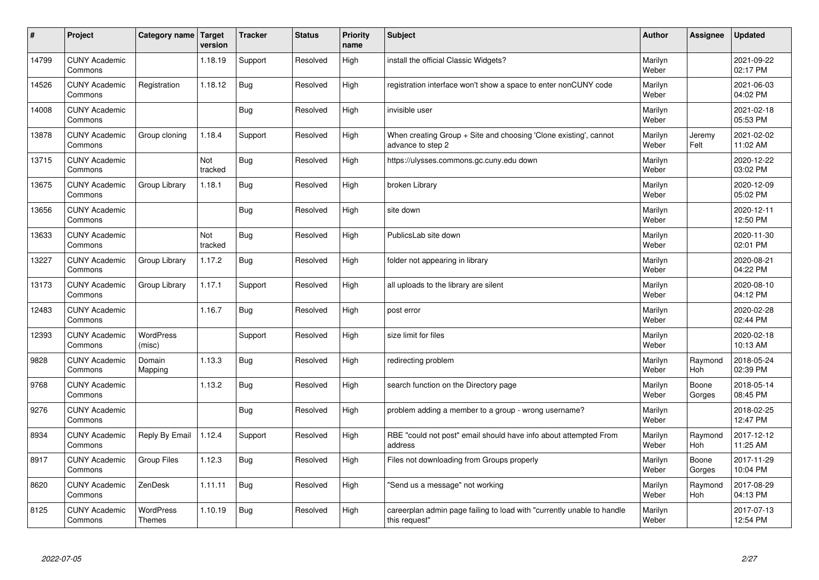| $\sharp$ | Project                         | Category name   Target            | version        | <b>Tracker</b> | <b>Status</b> | <b>Priority</b><br>name | <b>Subject</b>                                                                          | <b>Author</b>    | Assignee              | <b>Updated</b>         |
|----------|---------------------------------|-----------------------------------|----------------|----------------|---------------|-------------------------|-----------------------------------------------------------------------------------------|------------------|-----------------------|------------------------|
| 14799    | <b>CUNY Academic</b><br>Commons |                                   | 1.18.19        | Support        | Resolved      | High                    | install the official Classic Widgets?                                                   | Marilyn<br>Weber |                       | 2021-09-22<br>02:17 PM |
| 14526    | <b>CUNY Academic</b><br>Commons | Registration                      | 1.18.12        | Bug            | Resolved      | High                    | registration interface won't show a space to enter nonCUNY code                         | Marilyn<br>Weber |                       | 2021-06-03<br>04:02 PM |
| 14008    | <b>CUNY Academic</b><br>Commons |                                   |                | Bug            | Resolved      | High                    | invisible user                                                                          | Marilyn<br>Weber |                       | 2021-02-18<br>05:53 PM |
| 13878    | <b>CUNY Academic</b><br>Commons | Group cloning                     | 1.18.4         | Support        | Resolved      | High                    | When creating Group + Site and choosing 'Clone existing', cannot<br>advance to step 2   | Marilyn<br>Weber | Jeremy<br>Felt        | 2021-02-02<br>11:02 AM |
| 13715    | <b>CUNY Academic</b><br>Commons |                                   | Not<br>tracked | <b>Bug</b>     | Resolved      | High                    | https://ulysses.commons.gc.cuny.edu down                                                | Marilyn<br>Weber |                       | 2020-12-22<br>03:02 PM |
| 13675    | <b>CUNY Academic</b><br>Commons | Group Library                     | 1.18.1         | Bug            | Resolved      | High                    | broken Library                                                                          | Marilyn<br>Weber |                       | 2020-12-09<br>05:02 PM |
| 13656    | <b>CUNY Academic</b><br>Commons |                                   |                | Bug            | Resolved      | High                    | site down                                                                               | Marilyn<br>Weber |                       | 2020-12-11<br>12:50 PM |
| 13633    | <b>CUNY Academic</b><br>Commons |                                   | Not<br>tracked | <b>Bug</b>     | Resolved      | High                    | PublicsLab site down                                                                    | Marilyn<br>Weber |                       | 2020-11-30<br>02:01 PM |
| 13227    | <b>CUNY Academic</b><br>Commons | Group Library                     | 1.17.2         | Bug            | Resolved      | High                    | folder not appearing in library                                                         | Marilyn<br>Weber |                       | 2020-08-21<br>04:22 PM |
| 13173    | <b>CUNY Academic</b><br>Commons | Group Library                     | 1.17.1         | Support        | Resolved      | High                    | all uploads to the library are silent                                                   | Marilyn<br>Weber |                       | 2020-08-10<br>04:12 PM |
| 12483    | <b>CUNY Academic</b><br>Commons |                                   | 1.16.7         | <b>Bug</b>     | Resolved      | High                    | post error                                                                              | Marilyn<br>Weber |                       | 2020-02-28<br>02:44 PM |
| 12393    | <b>CUNY Academic</b><br>Commons | <b>WordPress</b><br>(misc)        |                | Support        | Resolved      | High                    | size limit for files                                                                    | Marilyn<br>Weber |                       | 2020-02-18<br>10:13 AM |
| 9828     | <b>CUNY Academic</b><br>Commons | Domain<br>Mapping                 | 1.13.3         | <b>Bug</b>     | Resolved      | High                    | redirecting problem                                                                     | Marilyn<br>Weber | Raymond<br>Hoh        | 2018-05-24<br>02:39 PM |
| 9768     | <b>CUNY Academic</b><br>Commons |                                   | 1.13.2         | Bug            | Resolved      | High                    | search function on the Directory page                                                   | Marilyn<br>Weber | Boone<br>Gorges       | 2018-05-14<br>08:45 PM |
| 9276     | <b>CUNY Academic</b><br>Commons |                                   |                | Bug            | Resolved      | High                    | problem adding a member to a group - wrong username?                                    | Marilyn<br>Weber |                       | 2018-02-25<br>12:47 PM |
| 8934     | <b>CUNY Academic</b><br>Commons | Reply By Email                    | 1.12.4         | Support        | Resolved      | High                    | RBE "could not post" email should have info about attempted From<br>address             | Marilyn<br>Weber | Raymond<br>Hoh        | 2017-12-12<br>11:25 AM |
| 8917     | <b>CUNY Academic</b><br>Commons | <b>Group Files</b>                | 1.12.3         | Bug            | Resolved      | High                    | Files not downloading from Groups properly                                              | Marilyn<br>Weber | Boone<br>Gorges       | 2017-11-29<br>10:04 PM |
| 8620     | <b>CUNY Academic</b><br>Commons | ZenDesk                           | 1.11.11        | Bug            | Resolved      | High                    | 'Send us a message" not working                                                         | Marilyn<br>Weber | Raymond<br><b>Hoh</b> | 2017-08-29<br>04:13 PM |
| 8125     | <b>CUNY Academic</b><br>Commons | <b>WordPress</b><br><b>Themes</b> | 1.10.19        | <b>Bug</b>     | Resolved      | High                    | careerplan admin page failing to load with "currently unable to handle<br>this request" | Marilyn<br>Weber |                       | 2017-07-13<br>12:54 PM |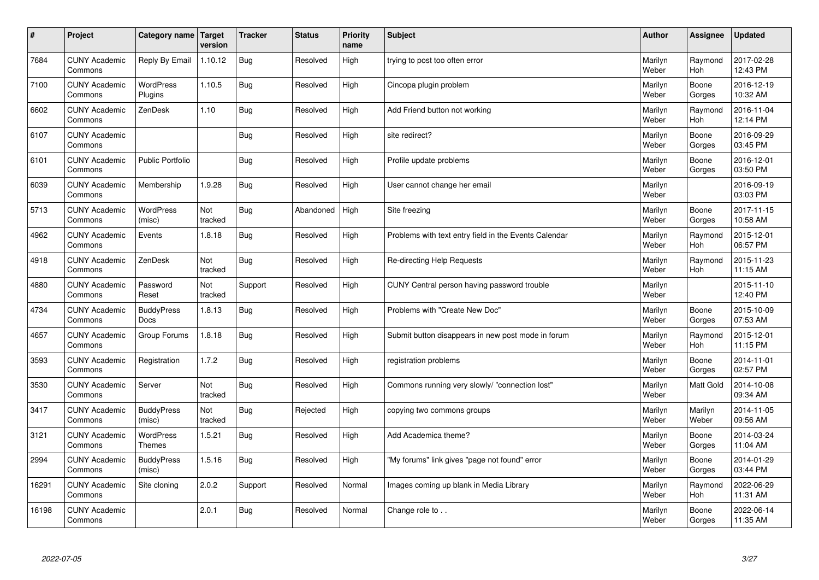| $\sharp$ | Project                         | <b>Category name</b>              | Target<br>version | <b>Tracker</b> | <b>Status</b> | <b>Priority</b><br>name | <b>Subject</b>                                        | <b>Author</b>    | Assignee              | <b>Updated</b>         |
|----------|---------------------------------|-----------------------------------|-------------------|----------------|---------------|-------------------------|-------------------------------------------------------|------------------|-----------------------|------------------------|
| 7684     | <b>CUNY Academic</b><br>Commons | Reply By Email                    | 1.10.12           | Bug            | Resolved      | High                    | trying to post too often error                        | Marilyn<br>Weber | Raymond<br><b>Hoh</b> | 2017-02-28<br>12:43 PM |
| 7100     | <b>CUNY Academic</b><br>Commons | <b>WordPress</b><br>Plugins       | 1.10.5            | Bug            | Resolved      | High                    | Cincopa plugin problem                                | Marilyn<br>Weber | Boone<br>Gorges       | 2016-12-19<br>10:32 AM |
| 6602     | <b>CUNY Academic</b><br>Commons | ZenDesk                           | 1.10              | Bug            | Resolved      | High                    | Add Friend button not working                         | Marilyn<br>Weber | Raymond<br><b>Hoh</b> | 2016-11-04<br>12:14 PM |
| 6107     | <b>CUNY Academic</b><br>Commons |                                   |                   | Bug            | Resolved      | High                    | site redirect?                                        | Marilyn<br>Weber | Boone<br>Gorges       | 2016-09-29<br>03:45 PM |
| 6101     | <b>CUNY Academic</b><br>Commons | <b>Public Portfolio</b>           |                   | Bug            | Resolved      | High                    | Profile update problems                               | Marilyn<br>Weber | Boone<br>Gorges       | 2016-12-01<br>03:50 PM |
| 6039     | <b>CUNY Academic</b><br>Commons | Membership                        | 1.9.28            | <b>Bug</b>     | Resolved      | High                    | User cannot change her email                          | Marilyn<br>Weber |                       | 2016-09-19<br>03:03 PM |
| 5713     | <b>CUNY Academic</b><br>Commons | <b>WordPress</b><br>(misc)        | Not<br>tracked    | Bug            | Abandoned     | High                    | Site freezing                                         | Marilyn<br>Weber | Boone<br>Gorges       | 2017-11-15<br>10:58 AM |
| 4962     | <b>CUNY Academic</b><br>Commons | Events                            | 1.8.18            | <b>Bug</b>     | Resolved      | High                    | Problems with text entry field in the Events Calendar | Marilyn<br>Weber | Raymond<br><b>Hoh</b> | 2015-12-01<br>06:57 PM |
| 4918     | <b>CUNY Academic</b><br>Commons | ZenDesk                           | Not<br>tracked    | Bug            | Resolved      | High                    | Re-directing Help Requests                            | Marilyn<br>Weber | Raymond<br>Hoh        | 2015-11-23<br>11:15 AM |
| 4880     | <b>CUNY Academic</b><br>Commons | Password<br>Reset                 | Not<br>tracked    | Support        | Resolved      | High                    | CUNY Central person having password trouble           | Marilyn<br>Weber |                       | 2015-11-10<br>12:40 PM |
| 4734     | <b>CUNY Academic</b><br>Commons | <b>BuddyPress</b><br><b>Docs</b>  | 1.8.13            | <b>Bug</b>     | Resolved      | High                    | Problems with "Create New Doc"                        | Marilyn<br>Weber | Boone<br>Gorges       | 2015-10-09<br>07:53 AM |
| 4657     | <b>CUNY Academic</b><br>Commons | Group Forums                      | 1.8.18            | Bug            | Resolved      | High                    | Submit button disappears in new post mode in forum    | Marilyn<br>Weber | Raymond<br>Hoh        | 2015-12-01<br>11:15 PM |
| 3593     | <b>CUNY Academic</b><br>Commons | Registration                      | 1.7.2             | Bug            | Resolved      | High                    | registration problems                                 | Marilyn<br>Weber | Boone<br>Gorges       | 2014-11-01<br>02:57 PM |
| 3530     | <b>CUNY Academic</b><br>Commons | Server                            | Not<br>tracked    | Bug            | Resolved      | High                    | Commons running very slowly/ "connection lost"        | Marilyn<br>Weber | <b>Matt Gold</b>      | 2014-10-08<br>09:34 AM |
| 3417     | <b>CUNY Academic</b><br>Commons | <b>BuddyPress</b><br>(misc)       | Not<br>tracked    | Bug            | Rejected      | High                    | copying two commons groups                            | Marilyn<br>Weber | Marilyn<br>Weber      | 2014-11-05<br>09:56 AM |
| 3121     | <b>CUNY Academic</b><br>Commons | <b>WordPress</b><br><b>Themes</b> | 1.5.21            | Bug            | Resolved      | High                    | Add Academica theme?                                  | Marilyn<br>Weber | Boone<br>Gorges       | 2014-03-24<br>11:04 AM |
| 2994     | <b>CUNY Academic</b><br>Commons | <b>BuddyPress</b><br>(misc)       | 1.5.16            | Bug            | Resolved      | High                    | 'My forums" link gives "page not found" error         | Marilyn<br>Weber | Boone<br>Gorges       | 2014-01-29<br>03:44 PM |
| 16291    | <b>CUNY Academic</b><br>Commons | Site cloning                      | 2.0.2             | Support        | Resolved      | Normal                  | Images coming up blank in Media Library               | Marilyn<br>Weber | Raymond<br>Hoh        | 2022-06-29<br>11:31 AM |
| 16198    | <b>CUNY Academic</b><br>Commons |                                   | 2.0.1             | Bug            | Resolved      | Normal                  | Change role to                                        | Marilyn<br>Weber | Boone<br>Gorges       | 2022-06-14<br>11:35 AM |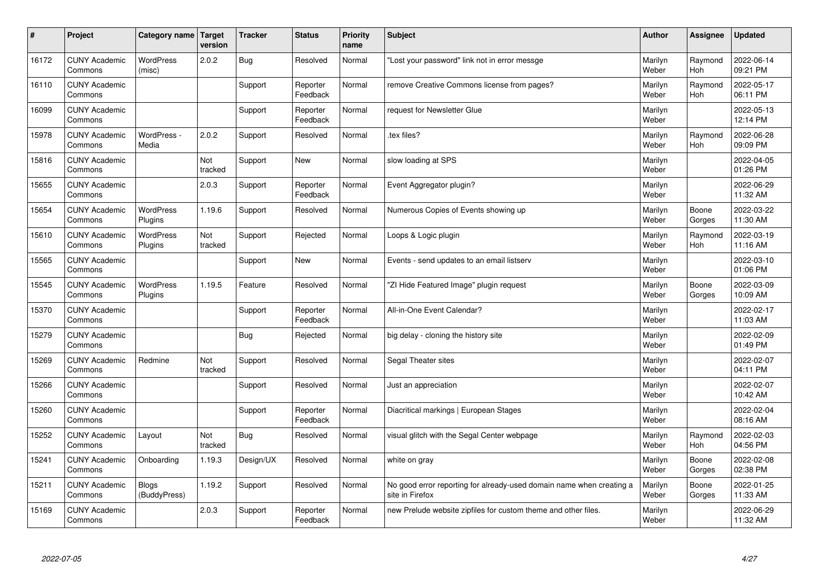| #     | Project                         | Category name               | Target<br>version | <b>Tracker</b> | <b>Status</b>        | <b>Priority</b><br>name | <b>Subject</b>                                                                          | <b>Author</b>    | Assignee        | <b>Updated</b>         |
|-------|---------------------------------|-----------------------------|-------------------|----------------|----------------------|-------------------------|-----------------------------------------------------------------------------------------|------------------|-----------------|------------------------|
| 16172 | <b>CUNY Academic</b><br>Commons | <b>WordPress</b><br>(misc)  | 2.0.2             | Bug            | Resolved             | Normal                  | 'Lost your password" link not in error messge                                           | Marilyn<br>Weber | Raymond<br>Hoh  | 2022-06-14<br>09:21 PM |
| 16110 | <b>CUNY Academic</b><br>Commons |                             |                   | Support        | Reporter<br>Feedback | Normal                  | remove Creative Commons license from pages?                                             | Marilyn<br>Weber | Raymond<br>Hoh  | 2022-05-17<br>06:11 PM |
| 16099 | <b>CUNY Academic</b><br>Commons |                             |                   | Support        | Reporter<br>Feedback | Normal                  | request for Newsletter Glue                                                             | Marilyn<br>Weber |                 | 2022-05-13<br>12:14 PM |
| 15978 | <b>CUNY Academic</b><br>Commons | WordPress -<br>Media        | 2.0.2             | Support        | Resolved             | Normal                  | tex files?                                                                              | Marilyn<br>Weber | Raymond<br>Hoh  | 2022-06-28<br>09:09 PM |
| 15816 | <b>CUNY Academic</b><br>Commons |                             | Not<br>tracked    | Support        | <b>New</b>           | Normal                  | slow loading at SPS                                                                     | Marilyn<br>Weber |                 | 2022-04-05<br>01:26 PM |
| 15655 | <b>CUNY Academic</b><br>Commons |                             | 2.0.3             | Support        | Reporter<br>Feedback | Normal                  | Event Aggregator plugin?                                                                | Marilyn<br>Weber |                 | 2022-06-29<br>11:32 AM |
| 15654 | <b>CUNY Academic</b><br>Commons | <b>WordPress</b><br>Plugins | 1.19.6            | Support        | Resolved             | Normal                  | Numerous Copies of Events showing up                                                    | Marilyn<br>Weber | Boone<br>Gorges | 2022-03-22<br>11:30 AM |
| 15610 | <b>CUNY Academic</b><br>Commons | <b>WordPress</b><br>Plugins | Not<br>tracked    | Support        | Rejected             | Normal                  | Loops & Logic plugin                                                                    | Marilyn<br>Weber | Raymond<br>Hoh  | 2022-03-19<br>11:16 AM |
| 15565 | <b>CUNY Academic</b><br>Commons |                             |                   | Support        | New                  | Normal                  | Events - send updates to an email listserv                                              | Marilyn<br>Weber |                 | 2022-03-10<br>01:06 PM |
| 15545 | <b>CUNY Academic</b><br>Commons | WordPress<br>Plugins        | 1.19.5            | Feature        | Resolved             | Normal                  | 'ZI Hide Featured Image" plugin request                                                 | Marilyn<br>Weber | Boone<br>Gorges | 2022-03-09<br>10:09 AM |
| 15370 | <b>CUNY Academic</b><br>Commons |                             |                   | Support        | Reporter<br>Feedback | Normal                  | All-in-One Event Calendar?                                                              | Marilyn<br>Weber |                 | 2022-02-17<br>11:03 AM |
| 15279 | <b>CUNY Academic</b><br>Commons |                             |                   | Bug            | Rejected             | Normal                  | big delay - cloning the history site                                                    | Marilyn<br>Weber |                 | 2022-02-09<br>01:49 PM |
| 15269 | <b>CUNY Academic</b><br>Commons | Redmine                     | Not<br>tracked    | Support        | Resolved             | Normal                  | Segal Theater sites                                                                     | Marilyn<br>Weber |                 | 2022-02-07<br>04:11 PM |
| 15266 | <b>CUNY Academic</b><br>Commons |                             |                   | Support        | Resolved             | Normal                  | Just an appreciation                                                                    | Marilyn<br>Weber |                 | 2022-02-07<br>10:42 AM |
| 15260 | <b>CUNY Academic</b><br>Commons |                             |                   | Support        | Reporter<br>Feedback | Normal                  | Diacritical markings   European Stages                                                  | Marilyn<br>Weber |                 | 2022-02-04<br>08:16 AM |
| 15252 | <b>CUNY Academic</b><br>Commons | Layout                      | Not<br>tracked    | Bug            | Resolved             | Normal                  | visual glitch with the Segal Center webpage                                             | Marilyn<br>Weber | Raymond<br>Hoh  | 2022-02-03<br>04:56 PM |
| 15241 | <b>CUNY Academic</b><br>Commons | Onboarding                  | 1.19.3            | Design/UX      | Resolved             | Normal                  | white on gray                                                                           | Marilyn<br>Weber | Boone<br>Gorges | 2022-02-08<br>02:38 PM |
| 15211 | <b>CUNY Academic</b><br>Commons | Blogs<br>(BuddyPress)       | 1.19.2            | Support        | Resolved             | Normal                  | No good error reporting for already-used domain name when creating a<br>site in Firefox | Marilyn<br>Weber | Boone<br>Gorges | 2022-01-25<br>11:33 AM |
| 15169 | <b>CUNY Academic</b><br>Commons |                             | 2.0.3             | Support        | Reporter<br>Feedback | Normal                  | new Prelude website zipfiles for custom theme and other files.                          | Marilyn<br>Weber |                 | 2022-06-29<br>11:32 AM |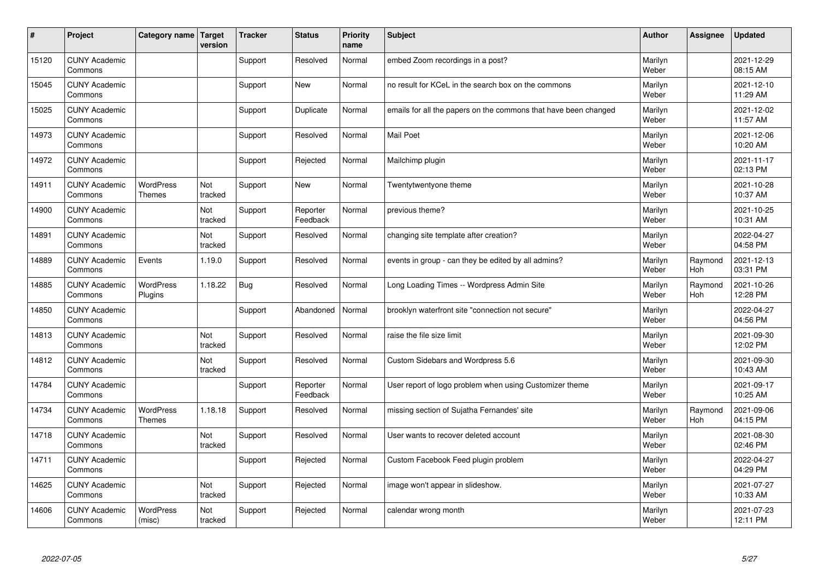| #     | Project                         | Category name   Target            | version        | <b>Tracker</b> | <b>Status</b>        | <b>Priority</b><br>name | <b>Subject</b>                                                  | <b>Author</b>    | Assignee              | <b>Updated</b>         |
|-------|---------------------------------|-----------------------------------|----------------|----------------|----------------------|-------------------------|-----------------------------------------------------------------|------------------|-----------------------|------------------------|
| 15120 | <b>CUNY Academic</b><br>Commons |                                   |                | Support        | Resolved             | Normal                  | embed Zoom recordings in a post?                                | Marilyn<br>Weber |                       | 2021-12-29<br>08:15 AM |
| 15045 | <b>CUNY Academic</b><br>Commons |                                   |                | Support        | <b>New</b>           | Normal                  | no result for KCeL in the search box on the commons             | Marilyn<br>Weber |                       | 2021-12-10<br>11:29 AM |
| 15025 | <b>CUNY Academic</b><br>Commons |                                   |                | Support        | Duplicate            | Normal                  | emails for all the papers on the commons that have been changed | Marilyn<br>Weber |                       | 2021-12-02<br>11:57 AM |
| 14973 | <b>CUNY Academic</b><br>Commons |                                   |                | Support        | Resolved             | Normal                  | <b>Mail Poet</b>                                                | Marilyn<br>Weber |                       | 2021-12-06<br>10:20 AM |
| 14972 | <b>CUNY Academic</b><br>Commons |                                   |                | Support        | Rejected             | Normal                  | Mailchimp plugin                                                | Marilyn<br>Weber |                       | 2021-11-17<br>02:13 PM |
| 14911 | <b>CUNY Academic</b><br>Commons | <b>WordPress</b><br><b>Themes</b> | Not<br>tracked | Support        | <b>New</b>           | Normal                  | Twentytwentyone theme                                           | Marilyn<br>Weber |                       | 2021-10-28<br>10:37 AM |
| 14900 | <b>CUNY Academic</b><br>Commons |                                   | Not<br>tracked | Support        | Reporter<br>Feedback | Normal                  | previous theme?                                                 | Marilyn<br>Weber |                       | 2021-10-25<br>10:31 AM |
| 14891 | <b>CUNY Academic</b><br>Commons |                                   | Not<br>tracked | Support        | Resolved             | Normal                  | changing site template after creation?                          | Marilyn<br>Weber |                       | 2022-04-27<br>04:58 PM |
| 14889 | <b>CUNY Academic</b><br>Commons | Events                            | 1.19.0         | Support        | Resolved             | Normal                  | events in group - can they be edited by all admins?             | Marilyn<br>Weber | Raymond<br>Hoh        | 2021-12-13<br>03:31 PM |
| 14885 | <b>CUNY Academic</b><br>Commons | <b>WordPress</b><br>Plugins       | 1.18.22        | Bug            | Resolved             | Normal                  | Long Loading Times -- Wordpress Admin Site                      | Marilyn<br>Weber | Raymond<br><b>Hoh</b> | 2021-10-26<br>12:28 PM |
| 14850 | <b>CUNY Academic</b><br>Commons |                                   |                | Support        | Abandoned            | Normal                  | brooklyn waterfront site "connection not secure"                | Marilyn<br>Weber |                       | 2022-04-27<br>04:56 PM |
| 14813 | <b>CUNY Academic</b><br>Commons |                                   | Not<br>tracked | Support        | Resolved             | Normal                  | raise the file size limit                                       | Marilyn<br>Weber |                       | 2021-09-30<br>12:02 PM |
| 14812 | <b>CUNY Academic</b><br>Commons |                                   | Not<br>tracked | Support        | Resolved             | Normal                  | Custom Sidebars and Wordpress 5.6                               | Marilyn<br>Weber |                       | 2021-09-30<br>10:43 AM |
| 14784 | <b>CUNY Academic</b><br>Commons |                                   |                | Support        | Reporter<br>Feedback | Normal                  | User report of logo problem when using Customizer theme         | Marilyn<br>Weber |                       | 2021-09-17<br>10:25 AM |
| 14734 | <b>CUNY Academic</b><br>Commons | <b>WordPress</b><br><b>Themes</b> | 1.18.18        | Support        | Resolved             | Normal                  | missing section of Sujatha Fernandes' site                      | Marilyn<br>Weber | Raymond<br>Hoh        | 2021-09-06<br>04:15 PM |
| 14718 | <b>CUNY Academic</b><br>Commons |                                   | Not<br>tracked | Support        | Resolved             | Normal                  | User wants to recover deleted account                           | Marilyn<br>Weber |                       | 2021-08-30<br>02:46 PM |
| 14711 | <b>CUNY Academic</b><br>Commons |                                   |                | Support        | Rejected             | Normal                  | Custom Facebook Feed plugin problem                             | Marilyn<br>Weber |                       | 2022-04-27<br>04:29 PM |
| 14625 | <b>CUNY Academic</b><br>Commons |                                   | Not<br>tracked | Support        | Rejected             | Normal                  | image won't appear in slideshow.                                | Marilyn<br>Weber |                       | 2021-07-27<br>10:33 AM |
| 14606 | <b>CUNY Academic</b><br>Commons | <b>WordPress</b><br>(misc)        | Not<br>tracked | Support        | Rejected             | Normal                  | calendar wrong month                                            | Marilyn<br>Weber |                       | 2021-07-23<br>12:11 PM |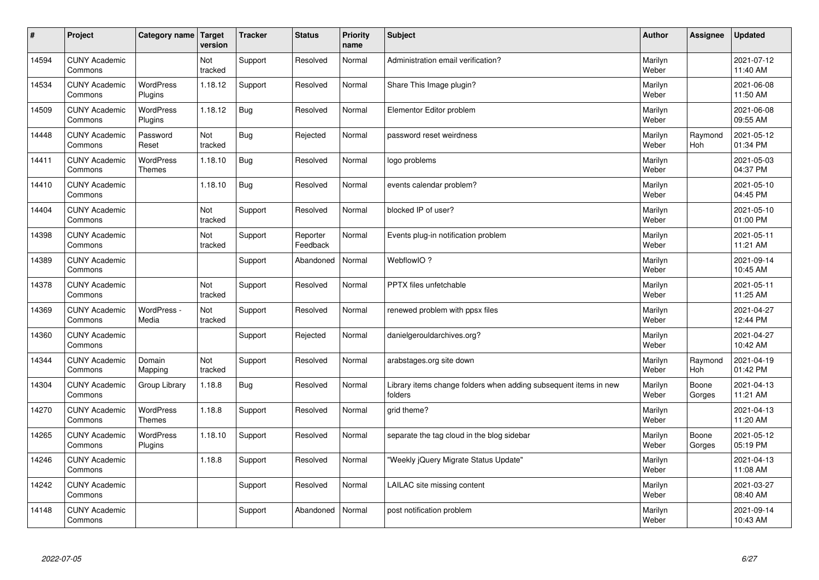| $\sharp$ | Project                         | Category name   Target            | version        | <b>Tracker</b> | <b>Status</b>        | <b>Priority</b><br>name | <b>Subject</b>                                                              | <b>Author</b>    | Assignee        | <b>Updated</b>         |
|----------|---------------------------------|-----------------------------------|----------------|----------------|----------------------|-------------------------|-----------------------------------------------------------------------------|------------------|-----------------|------------------------|
| 14594    | <b>CUNY Academic</b><br>Commons |                                   | Not<br>tracked | Support        | Resolved             | Normal                  | Administration email verification?                                          | Marilyn<br>Weber |                 | 2021-07-12<br>11:40 AM |
| 14534    | <b>CUNY Academic</b><br>Commons | <b>WordPress</b><br>Plugins       | 1.18.12        | Support        | Resolved             | Normal                  | Share This Image plugin?                                                    | Marilyn<br>Weber |                 | 2021-06-08<br>11:50 AM |
| 14509    | <b>CUNY Academic</b><br>Commons | <b>WordPress</b><br>Plugins       | 1.18.12        | Bug            | Resolved             | Normal                  | Elementor Editor problem                                                    | Marilyn<br>Weber |                 | 2021-06-08<br>09:55 AM |
| 14448    | <b>CUNY Academic</b><br>Commons | Password<br>Reset                 | Not<br>tracked | <b>Bug</b>     | Rejected             | Normal                  | password reset weirdness                                                    | Marilyn<br>Weber | Raymond<br>Hoh  | 2021-05-12<br>01:34 PM |
| 14411    | <b>CUNY Academic</b><br>Commons | <b>WordPress</b><br><b>Themes</b> | 1.18.10        | Bug            | Resolved             | Normal                  | logo problems                                                               | Marilyn<br>Weber |                 | 2021-05-03<br>04:37 PM |
| 14410    | <b>CUNY Academic</b><br>Commons |                                   | 1.18.10        | <b>Bug</b>     | Resolved             | Normal                  | events calendar problem?                                                    | Marilyn<br>Weber |                 | 2021-05-10<br>04:45 PM |
| 14404    | <b>CUNY Academic</b><br>Commons |                                   | Not<br>tracked | Support        | Resolved             | Normal                  | blocked IP of user?                                                         | Marilyn<br>Weber |                 | 2021-05-10<br>01:00 PM |
| 14398    | <b>CUNY Academic</b><br>Commons |                                   | Not<br>tracked | Support        | Reporter<br>Feedback | Normal                  | Events plug-in notification problem                                         | Marilyn<br>Weber |                 | 2021-05-11<br>11:21 AM |
| 14389    | <b>CUNY Academic</b><br>Commons |                                   |                | Support        | Abandoned            | Normal                  | WebflowIO?                                                                  | Marilyn<br>Weber |                 | 2021-09-14<br>10:45 AM |
| 14378    | <b>CUNY Academic</b><br>Commons |                                   | Not<br>tracked | Support        | Resolved             | Normal                  | PPTX files unfetchable                                                      | Marilyn<br>Weber |                 | 2021-05-11<br>11:25 AM |
| 14369    | <b>CUNY Academic</b><br>Commons | WordPress -<br>Media              | Not<br>tracked | Support        | Resolved             | Normal                  | renewed problem with ppsx files                                             | Marilyn<br>Weber |                 | 2021-04-27<br>12:44 PM |
| 14360    | <b>CUNY Academic</b><br>Commons |                                   |                | Support        | Rejected             | Normal                  | danielgerouldarchives.org?                                                  | Marilyn<br>Weber |                 | 2021-04-27<br>10:42 AM |
| 14344    | <b>CUNY Academic</b><br>Commons | Domain<br>Mapping                 | Not<br>tracked | Support        | Resolved             | Normal                  | arabstages.org site down                                                    | Marilyn<br>Weber | Raymond<br>Hoh  | 2021-04-19<br>01:42 PM |
| 14304    | <b>CUNY Academic</b><br>Commons | Group Library                     | 1.18.8         | Bug            | Resolved             | Normal                  | Library items change folders when adding subsequent items in new<br>folders | Marilyn<br>Weber | Boone<br>Gorges | 2021-04-13<br>11:21 AM |
| 14270    | <b>CUNY Academic</b><br>Commons | WordPress<br><b>Themes</b>        | 1.18.8         | Support        | Resolved             | Normal                  | grid theme?                                                                 | Marilyn<br>Weber |                 | 2021-04-13<br>11:20 AM |
| 14265    | <b>CUNY Academic</b><br>Commons | <b>WordPress</b><br>Plugins       | 1.18.10        | Support        | Resolved             | Normal                  | separate the tag cloud in the blog sidebar                                  | Marilyn<br>Weber | Boone<br>Gorges | 2021-05-12<br>05:19 PM |
| 14246    | <b>CUNY Academic</b><br>Commons |                                   | 1.18.8         | Support        | Resolved             | Normal                  | 'Weekly jQuery Migrate Status Update"                                       | Marilyn<br>Weber |                 | 2021-04-13<br>11:08 AM |
| 14242    | <b>CUNY Academic</b><br>Commons |                                   |                | Support        | Resolved             | Normal                  | LAILAC site missing content                                                 | Marilyn<br>Weber |                 | 2021-03-27<br>08:40 AM |
| 14148    | <b>CUNY Academic</b><br>Commons |                                   |                | Support        | Abandoned            | Normal                  | post notification problem                                                   | Marilyn<br>Weber |                 | 2021-09-14<br>10:43 AM |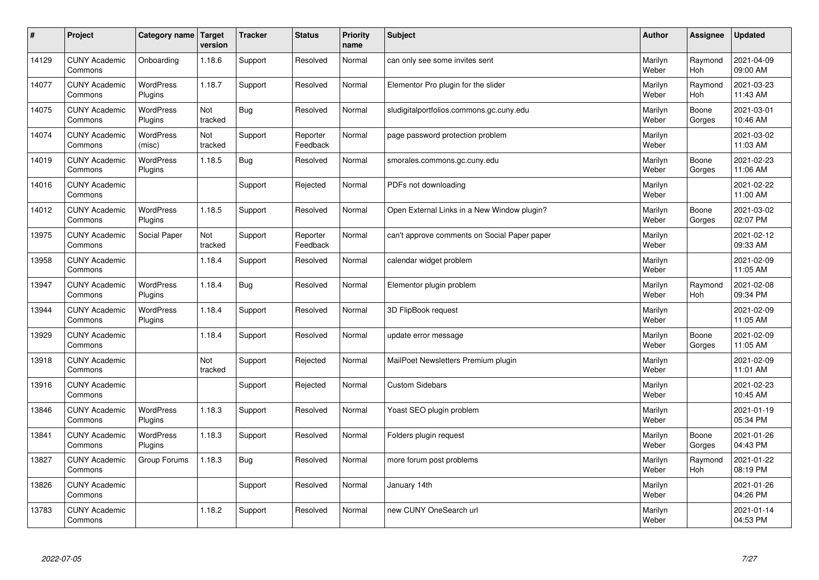| #     | Project                         | <b>Category name</b>        | Target<br>version | <b>Tracker</b> | <b>Status</b>        | <b>Priority</b><br>name | <b>Subject</b>                               | <b>Author</b>    | Assignee        | <b>Updated</b>         |
|-------|---------------------------------|-----------------------------|-------------------|----------------|----------------------|-------------------------|----------------------------------------------|------------------|-----------------|------------------------|
| 14129 | <b>CUNY Academic</b><br>Commons | Onboarding                  | 1.18.6            | Support        | Resolved             | Normal                  | can only see some invites sent               | Marilyn<br>Weber | Raymond<br>Hoh  | 2021-04-09<br>09:00 AM |
| 14077 | <b>CUNY Academic</b><br>Commons | <b>WordPress</b><br>Plugins | 1.18.7            | Support        | Resolved             | Normal                  | Elementor Pro plugin for the slider          | Marilyn<br>Weber | Raymond<br>Hoh  | 2021-03-23<br>11:43 AM |
| 14075 | <b>CUNY Academic</b><br>Commons | <b>WordPress</b><br>Plugins | Not<br>tracked    | Bug            | Resolved             | Normal                  | sludigitalportfolios.commons.gc.cuny.edu     | Marilyn<br>Weber | Boone<br>Gorges | 2021-03-01<br>10:46 AM |
| 14074 | <b>CUNY Academic</b><br>Commons | <b>WordPress</b><br>(misc)  | Not<br>tracked    | Support        | Reporter<br>Feedback | Normal                  | page password protection problem             | Marilyn<br>Weber |                 | 2021-03-02<br>11:03 AM |
| 14019 | <b>CUNY Academic</b><br>Commons | <b>WordPress</b><br>Plugins | 1.18.5            | Bug            | Resolved             | Normal                  | smorales.commons.gc.cuny.edu                 | Marilyn<br>Weber | Boone<br>Gorges | 2021-02-23<br>11:06 AM |
| 14016 | <b>CUNY Academic</b><br>Commons |                             |                   | Support        | Rejected             | Normal                  | PDFs not downloading                         | Marilyn<br>Weber |                 | 2021-02-22<br>11:00 AM |
| 14012 | <b>CUNY Academic</b><br>Commons | <b>WordPress</b><br>Plugins | 1.18.5            | Support        | Resolved             | Normal                  | Open External Links in a New Window plugin?  | Marilyn<br>Weber | Boone<br>Gorges | 2021-03-02<br>02:07 PM |
| 13975 | <b>CUNY Academic</b><br>Commons | Social Paper                | Not<br>tracked    | Support        | Reporter<br>Feedback | Normal                  | can't approve comments on Social Paper paper | Marilyn<br>Weber |                 | 2021-02-12<br>09:33 AM |
| 13958 | <b>CUNY Academic</b><br>Commons |                             | 1.18.4            | Support        | Resolved             | Normal                  | calendar widget problem                      | Marilyn<br>Weber |                 | 2021-02-09<br>11:05 AM |
| 13947 | <b>CUNY Academic</b><br>Commons | WordPress<br>Plugins        | 1.18.4            | Bug            | Resolved             | Normal                  | Elementor plugin problem                     | Marilyn<br>Weber | Raymond<br>Hoh  | 2021-02-08<br>09:34 PM |
| 13944 | <b>CUNY Academic</b><br>Commons | WordPress<br>Plugins        | 1.18.4            | Support        | Resolved             | Normal                  | 3D FlipBook request                          | Marilyn<br>Weber |                 | 2021-02-09<br>11:05 AM |
| 13929 | <b>CUNY Academic</b><br>Commons |                             | 1.18.4            | Support        | Resolved             | Normal                  | update error message                         | Marilyn<br>Weber | Boone<br>Gorges | 2021-02-09<br>11:05 AM |
| 13918 | <b>CUNY Academic</b><br>Commons |                             | Not<br>tracked    | Support        | Rejected             | Normal                  | MailPoet Newsletters Premium plugin          | Marilyn<br>Weber |                 | 2021-02-09<br>11:01 AM |
| 13916 | <b>CUNY Academic</b><br>Commons |                             |                   | Support        | Rejected             | Normal                  | <b>Custom Sidebars</b>                       | Marilyn<br>Weber |                 | 2021-02-23<br>10:45 AM |
| 13846 | <b>CUNY Academic</b><br>Commons | <b>WordPress</b><br>Plugins | 1.18.3            | Support        | Resolved             | Normal                  | Yoast SEO plugin problem                     | Marilyn<br>Weber |                 | 2021-01-19<br>05:34 PM |
| 13841 | <b>CUNY Academic</b><br>Commons | <b>WordPress</b><br>Plugins | 1.18.3            | Support        | Resolved             | Normal                  | Folders plugin request                       | Marilyn<br>Weber | Boone<br>Gorges | 2021-01-26<br>04:43 PM |
| 13827 | <b>CUNY Academic</b><br>Commons | Group Forums                | 1.18.3            | Bug            | Resolved             | Normal                  | more forum post problems                     | Marilyn<br>Weber | Raymond<br>Hoh  | 2021-01-22<br>08:19 PM |
| 13826 | <b>CUNY Academic</b><br>Commons |                             |                   | Support        | Resolved             | Normal                  | January 14th                                 | Marilyn<br>Weber |                 | 2021-01-26<br>04:26 PM |
| 13783 | <b>CUNY Academic</b><br>Commons |                             | 1.18.2            | Support        | Resolved             | Normal                  | new CUNY OneSearch url                       | Marilyn<br>Weber |                 | 2021-01-14<br>04:53 PM |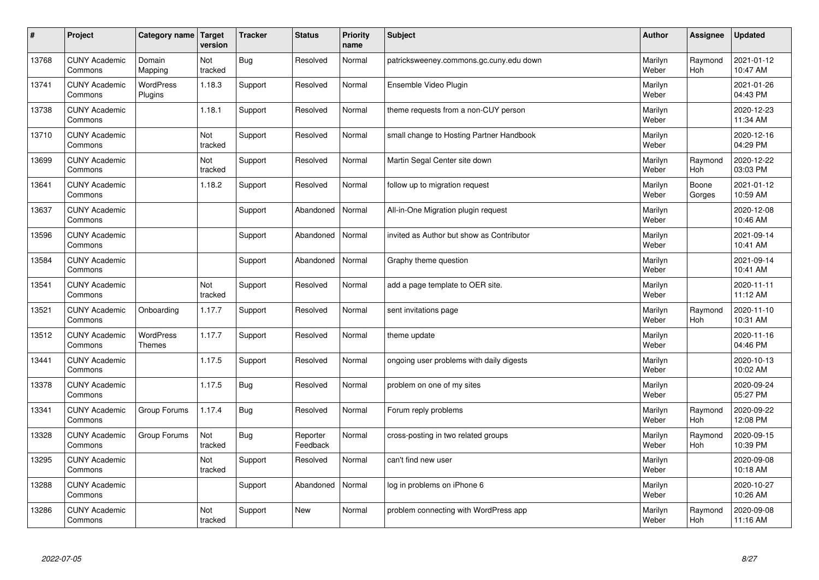| $\pmb{\#}$ | Project                         | Category name                     | Target<br>version | <b>Tracker</b> | <b>Status</b>        | <b>Priority</b><br>name | <b>Subject</b>                            | <b>Author</b>    | Assignee        | <b>Updated</b>         |
|------------|---------------------------------|-----------------------------------|-------------------|----------------|----------------------|-------------------------|-------------------------------------------|------------------|-----------------|------------------------|
| 13768      | <b>CUNY Academic</b><br>Commons | Domain<br>Mapping                 | Not<br>tracked    | <b>Bug</b>     | Resolved             | Normal                  | patricksweeney.commons.gc.cuny.edu down   | Marilyn<br>Weber | Raymond<br>Hoh  | 2021-01-12<br>10:47 AM |
| 13741      | <b>CUNY Academic</b><br>Commons | <b>WordPress</b><br>Plugins       | 1.18.3            | Support        | Resolved             | Normal                  | Ensemble Video Plugin                     | Marilyn<br>Weber |                 | 2021-01-26<br>04:43 PM |
| 13738      | <b>CUNY Academic</b><br>Commons |                                   | 1.18.1            | Support        | Resolved             | Normal                  | theme requests from a non-CUY person      | Marilyn<br>Weber |                 | 2020-12-23<br>11:34 AM |
| 13710      | <b>CUNY Academic</b><br>Commons |                                   | Not<br>tracked    | Support        | Resolved             | Normal                  | small change to Hosting Partner Handbook  | Marilyn<br>Weber |                 | 2020-12-16<br>04:29 PM |
| 13699      | <b>CUNY Academic</b><br>Commons |                                   | Not<br>tracked    | Support        | Resolved             | Normal                  | Martin Segal Center site down             | Marilyn<br>Weber | Raymond<br>Hoh  | 2020-12-22<br>03:03 PM |
| 13641      | <b>CUNY Academic</b><br>Commons |                                   | 1.18.2            | Support        | Resolved             | Normal                  | follow up to migration request            | Marilyn<br>Weber | Boone<br>Gorges | 2021-01-12<br>10:59 AM |
| 13637      | <b>CUNY Academic</b><br>Commons |                                   |                   | Support        | Abandoned            | Normal                  | All-in-One Migration plugin request       | Marilyn<br>Weber |                 | 2020-12-08<br>10:46 AM |
| 13596      | <b>CUNY Academic</b><br>Commons |                                   |                   | Support        | Abandoned            | Normal                  | invited as Author but show as Contributor | Marilyn<br>Weber |                 | 2021-09-14<br>10:41 AM |
| 13584      | <b>CUNY Academic</b><br>Commons |                                   |                   | Support        | Abandoned            | Normal                  | Graphy theme question                     | Marilyn<br>Weber |                 | 2021-09-14<br>10:41 AM |
| 13541      | <b>CUNY Academic</b><br>Commons |                                   | Not<br>tracked    | Support        | Resolved             | Normal                  | add a page template to OER site.          | Marilyn<br>Weber |                 | 2020-11-11<br>11:12 AM |
| 13521      | <b>CUNY Academic</b><br>Commons | Onboarding                        | 1.17.7            | Support        | Resolved             | Normal                  | sent invitations page                     | Marilyn<br>Weber | Raymond<br>Hoh  | 2020-11-10<br>10:31 AM |
| 13512      | <b>CUNY Academic</b><br>Commons | <b>WordPress</b><br><b>Themes</b> | 1.17.7            | Support        | Resolved             | Normal                  | theme update                              | Marilyn<br>Weber |                 | 2020-11-16<br>04:46 PM |
| 13441      | <b>CUNY Academic</b><br>Commons |                                   | 1.17.5            | Support        | Resolved             | Normal                  | ongoing user problems with daily digests  | Marilyn<br>Weber |                 | 2020-10-13<br>10:02 AM |
| 13378      | <b>CUNY Academic</b><br>Commons |                                   | 1.17.5            | <b>Bug</b>     | Resolved             | Normal                  | problem on one of my sites                | Marilyn<br>Weber |                 | 2020-09-24<br>05:27 PM |
| 13341      | <b>CUNY Academic</b><br>Commons | Group Forums                      | 1.17.4            | Bug            | Resolved             | Normal                  | Forum reply problems                      | Marilyn<br>Weber | Raymond<br>Hoh  | 2020-09-22<br>12:08 PM |
| 13328      | <b>CUNY Academic</b><br>Commons | Group Forums                      | Not<br>tracked    | <b>Bug</b>     | Reporter<br>Feedback | Normal                  | cross-posting in two related groups       | Marilyn<br>Weber | Raymond<br>Hoh  | 2020-09-15<br>10:39 PM |
| 13295      | <b>CUNY Academic</b><br>Commons |                                   | Not<br>tracked    | Support        | Resolved             | Normal                  | can't find new user                       | Marilyn<br>Weber |                 | 2020-09-08<br>10:18 AM |
| 13288      | <b>CUNY Academic</b><br>Commons |                                   |                   | Support        | Abandoned            | Normal                  | log in problems on iPhone 6               | Marilyn<br>Weber |                 | 2020-10-27<br>10:26 AM |
| 13286      | <b>CUNY Academic</b><br>Commons |                                   | Not<br>tracked    | Support        | <b>New</b>           | Normal                  | problem connecting with WordPress app     | Marilyn<br>Weber | Raymond<br>Hoh  | 2020-09-08<br>11:16 AM |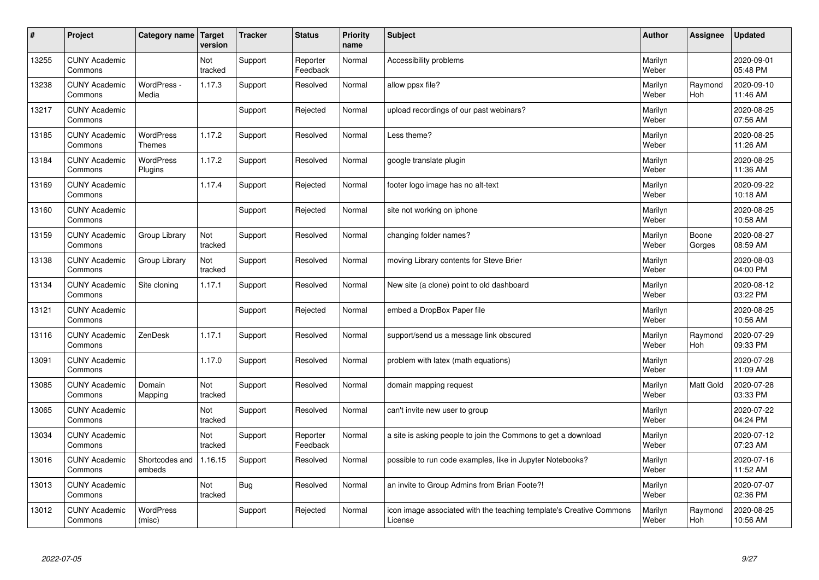| #     | Project                         | Category name   Target            | version        | <b>Tracker</b> | <b>Status</b>        | <b>Priority</b><br>name | <b>Subject</b>                                                                 | <b>Author</b>    | Assignee              | <b>Updated</b>         |
|-------|---------------------------------|-----------------------------------|----------------|----------------|----------------------|-------------------------|--------------------------------------------------------------------------------|------------------|-----------------------|------------------------|
| 13255 | <b>CUNY Academic</b><br>Commons |                                   | Not<br>tracked | Support        | Reporter<br>Feedback | Normal                  | Accessibility problems                                                         | Marilyn<br>Weber |                       | 2020-09-01<br>05:48 PM |
| 13238 | <b>CUNY Academic</b><br>Commons | WordPress -<br>Media              | 1.17.3         | Support        | Resolved             | Normal                  | allow ppsx file?                                                               | Marilyn<br>Weber | Raymond<br><b>Hoh</b> | 2020-09-10<br>11:46 AM |
| 13217 | <b>CUNY Academic</b><br>Commons |                                   |                | Support        | Rejected             | Normal                  | upload recordings of our past webinars?                                        | Marilyn<br>Weber |                       | 2020-08-25<br>07:56 AM |
| 13185 | <b>CUNY Academic</b><br>Commons | <b>WordPress</b><br><b>Themes</b> | 1.17.2         | Support        | Resolved             | Normal                  | Less theme?                                                                    | Marilyn<br>Weber |                       | 2020-08-25<br>11:26 AM |
| 13184 | <b>CUNY Academic</b><br>Commons | <b>WordPress</b><br>Plugins       | 1.17.2         | Support        | Resolved             | Normal                  | google translate plugin                                                        | Marilyn<br>Weber |                       | 2020-08-25<br>11:36 AM |
| 13169 | <b>CUNY Academic</b><br>Commons |                                   | 1.17.4         | Support        | Rejected             | Normal                  | footer logo image has no alt-text                                              | Marilyn<br>Weber |                       | 2020-09-22<br>10:18 AM |
| 13160 | <b>CUNY Academic</b><br>Commons |                                   |                | Support        | Rejected             | Normal                  | site not working on iphone                                                     | Marilyn<br>Weber |                       | 2020-08-25<br>10:58 AM |
| 13159 | <b>CUNY Academic</b><br>Commons | Group Library                     | Not<br>tracked | Support        | Resolved             | Normal                  | changing folder names?                                                         | Marilyn<br>Weber | Boone<br>Gorges       | 2020-08-27<br>08:59 AM |
| 13138 | <b>CUNY Academic</b><br>Commons | Group Library                     | Not<br>tracked | Support        | Resolved             | Normal                  | moving Library contents for Steve Brier                                        | Marilyn<br>Weber |                       | 2020-08-03<br>04:00 PM |
| 13134 | <b>CUNY Academic</b><br>Commons | Site cloning                      | 1.17.1         | Support        | Resolved             | Normal                  | New site (a clone) point to old dashboard                                      | Marilyn<br>Weber |                       | 2020-08-12<br>03:22 PM |
| 13121 | <b>CUNY Academic</b><br>Commons |                                   |                | Support        | Rejected             | Normal                  | embed a DropBox Paper file                                                     | Marilyn<br>Weber |                       | 2020-08-25<br>10:56 AM |
| 13116 | <b>CUNY Academic</b><br>Commons | ZenDesk                           | 1.17.1         | Support        | Resolved             | Normal                  | support/send us a message link obscured                                        | Marilyn<br>Weber | Raymond<br>Hoh        | 2020-07-29<br>09:33 PM |
| 13091 | <b>CUNY Academic</b><br>Commons |                                   | 1.17.0         | Support        | Resolved             | Normal                  | problem with latex (math equations)                                            | Marilyn<br>Weber |                       | 2020-07-28<br>11:09 AM |
| 13085 | <b>CUNY Academic</b><br>Commons | Domain<br>Mapping                 | Not<br>tracked | Support        | Resolved             | Normal                  | domain mapping request                                                         | Marilyn<br>Weber | Matt Gold             | 2020-07-28<br>03:33 PM |
| 13065 | <b>CUNY Academic</b><br>Commons |                                   | Not<br>tracked | Support        | Resolved             | Normal                  | can't invite new user to group                                                 | Marilyn<br>Weber |                       | 2020-07-22<br>04:24 PM |
| 13034 | <b>CUNY Academic</b><br>Commons |                                   | Not<br>tracked | Support        | Reporter<br>Feedback | Normal                  | a site is asking people to join the Commons to get a download                  | Marilyn<br>Weber |                       | 2020-07-12<br>07:23 AM |
| 13016 | <b>CUNY Academic</b><br>Commons | Shortcodes and<br>embeds          | 1.16.15        | Support        | Resolved             | Normal                  | possible to run code examples, like in Jupyter Notebooks?                      | Marilyn<br>Weber |                       | 2020-07-16<br>11:52 AM |
| 13013 | <b>CUNY Academic</b><br>Commons |                                   | Not<br>tracked | <b>Bug</b>     | Resolved             | Normal                  | an invite to Group Admins from Brian Foote?!                                   | Marilyn<br>Weber |                       | 2020-07-07<br>02:36 PM |
| 13012 | <b>CUNY Academic</b><br>Commons | <b>WordPress</b><br>(misc)        |                | Support        | Rejected             | Normal                  | icon image associated with the teaching template's Creative Commons<br>License | Marilyn<br>Weber | Raymond<br>Hoh        | 2020-08-25<br>10:56 AM |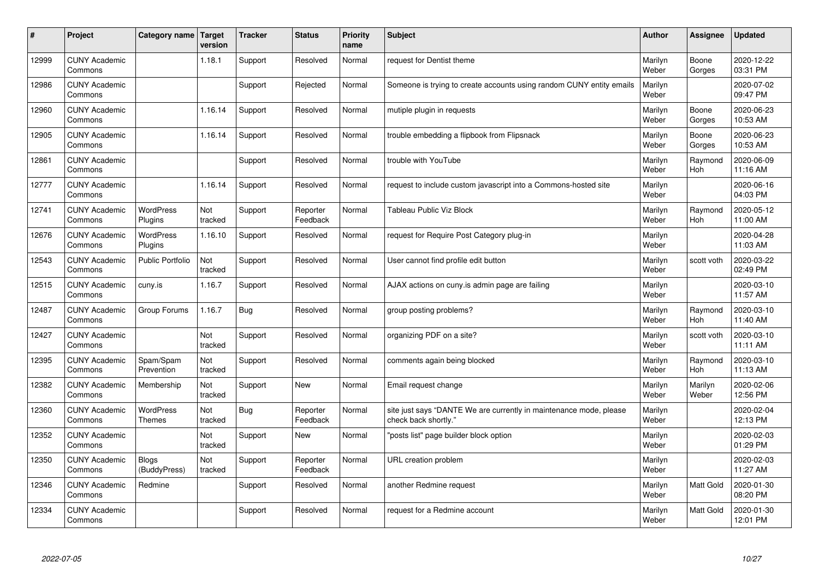| #     | Project                         | <b>Category name</b>              | Target<br>version | <b>Tracker</b> | <b>Status</b>        | <b>Priority</b><br>name | <b>Subject</b>                                                                             | <b>Author</b>    | Assignee              | <b>Updated</b>         |
|-------|---------------------------------|-----------------------------------|-------------------|----------------|----------------------|-------------------------|--------------------------------------------------------------------------------------------|------------------|-----------------------|------------------------|
| 12999 | <b>CUNY Academic</b><br>Commons |                                   | 1.18.1            | Support        | Resolved             | Normal                  | request for Dentist theme                                                                  | Marilyn<br>Weber | Boone<br>Gorges       | 2020-12-22<br>03:31 PM |
| 12986 | <b>CUNY Academic</b><br>Commons |                                   |                   | Support        | Rejected             | Normal                  | Someone is trying to create accounts using random CUNY entity emails                       | Marilyn<br>Weber |                       | 2020-07-02<br>09:47 PM |
| 12960 | <b>CUNY Academic</b><br>Commons |                                   | 1.16.14           | Support        | Resolved             | Normal                  | mutiple plugin in requests                                                                 | Marilyn<br>Weber | Boone<br>Gorges       | 2020-06-23<br>10:53 AM |
| 12905 | <b>CUNY Academic</b><br>Commons |                                   | 1.16.14           | Support        | Resolved             | Normal                  | trouble embedding a flipbook from Flipsnack                                                | Marilyn<br>Weber | Boone<br>Gorges       | 2020-06-23<br>10:53 AM |
| 12861 | <b>CUNY Academic</b><br>Commons |                                   |                   | Support        | Resolved             | Normal                  | trouble with YouTube                                                                       | Marilyn<br>Weber | Raymond<br>Hoh        | 2020-06-09<br>11:16 AM |
| 12777 | <b>CUNY Academic</b><br>Commons |                                   | 1.16.14           | Support        | Resolved             | Normal                  | request to include custom javascript into a Commons-hosted site                            | Marilyn<br>Weber |                       | 2020-06-16<br>04:03 PM |
| 12741 | <b>CUNY Academic</b><br>Commons | <b>WordPress</b><br>Plugins       | Not<br>tracked    | Support        | Reporter<br>Feedback | Normal                  | <b>Tableau Public Viz Block</b>                                                            | Marilyn<br>Weber | Raymond<br><b>Hoh</b> | 2020-05-12<br>11:00 AM |
| 12676 | <b>CUNY Academic</b><br>Commons | WordPress<br>Plugins              | 1.16.10           | Support        | Resolved             | Normal                  | request for Require Post Category plug-in                                                  | Marilyn<br>Weber |                       | 2020-04-28<br>11:03 AM |
| 12543 | <b>CUNY Academic</b><br>Commons | <b>Public Portfolio</b>           | Not<br>tracked    | Support        | Resolved             | Normal                  | User cannot find profile edit button                                                       | Marilyn<br>Weber | scott voth            | 2020-03-22<br>02:49 PM |
| 12515 | <b>CUNY Academic</b><br>Commons | cuny.is                           | 1.16.7            | Support        | Resolved             | Normal                  | AJAX actions on cuny is admin page are failing                                             | Marilyn<br>Weber |                       | 2020-03-10<br>11:57 AM |
| 12487 | <b>CUNY Academic</b><br>Commons | Group Forums                      | 1.16.7            | Bug            | Resolved             | Normal                  | group posting problems?                                                                    | Marilyn<br>Weber | Raymond<br>Hoh        | 2020-03-10<br>11:40 AM |
| 12427 | <b>CUNY Academic</b><br>Commons |                                   | Not<br>tracked    | Support        | Resolved             | Normal                  | organizing PDF on a site?                                                                  | Marilyn<br>Weber | scott voth            | 2020-03-10<br>11:11 AM |
| 12395 | <b>CUNY Academic</b><br>Commons | Spam/Spam<br>Prevention           | Not<br>tracked    | Support        | Resolved             | Normal                  | comments again being blocked                                                               | Marilyn<br>Weber | Raymond<br>Hoh        | 2020-03-10<br>11:13 AM |
| 12382 | <b>CUNY Academic</b><br>Commons | Membership                        | Not<br>tracked    | Support        | <b>New</b>           | Normal                  | Email request change                                                                       | Marilyn<br>Weber | Marilyn<br>Weber      | 2020-02-06<br>12:56 PM |
| 12360 | <b>CUNY Academic</b><br>Commons | <b>WordPress</b><br><b>Themes</b> | Not<br>tracked    | Bug            | Reporter<br>Feedback | Normal                  | site just says "DANTE We are currently in maintenance mode, please<br>check back shortly." | Marilyn<br>Weber |                       | 2020-02-04<br>12:13 PM |
| 12352 | <b>CUNY Academic</b><br>Commons |                                   | Not<br>tracked    | Support        | New                  | Normal                  | 'posts list" page builder block option                                                     | Marilyn<br>Weber |                       | 2020-02-03<br>01:29 PM |
| 12350 | <b>CUNY Academic</b><br>Commons | <b>Blogs</b><br>(BuddyPress)      | Not<br>tracked    | Support        | Reporter<br>Feedback | Normal                  | URL creation problem                                                                       | Marilyn<br>Weber |                       | 2020-02-03<br>11:27 AM |
| 12346 | <b>CUNY Academic</b><br>Commons | Redmine                           |                   | Support        | Resolved             | Normal                  | another Redmine request                                                                    | Marilyn<br>Weber | <b>Matt Gold</b>      | 2020-01-30<br>08:20 PM |
| 12334 | <b>CUNY Academic</b><br>Commons |                                   |                   | Support        | Resolved             | Normal                  | request for a Redmine account                                                              | Marilyn<br>Weber | <b>Matt Gold</b>      | 2020-01-30<br>12:01 PM |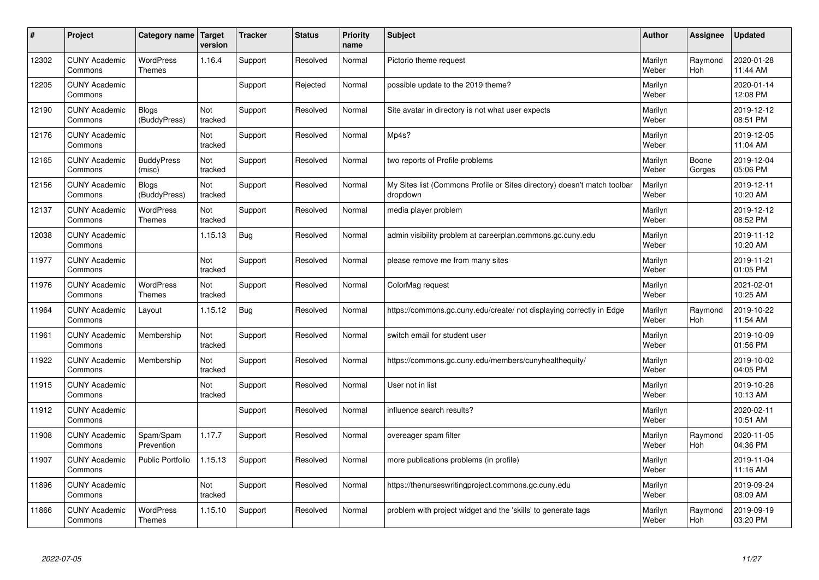| $\pmb{\#}$ | Project                         | Category name                     | <b>Target</b><br>version | <b>Tracker</b> | <b>Status</b> | <b>Priority</b><br>name | <b>Subject</b>                                                                       | <b>Author</b>    | Assignee        | <b>Updated</b>         |
|------------|---------------------------------|-----------------------------------|--------------------------|----------------|---------------|-------------------------|--------------------------------------------------------------------------------------|------------------|-----------------|------------------------|
| 12302      | <b>CUNY Academic</b><br>Commons | <b>WordPress</b><br>Themes        | 1.16.4                   | Support        | Resolved      | Normal                  | Pictorio theme request                                                               | Marilyn<br>Weber | Raymond<br>Hoh  | 2020-01-28<br>11:44 AM |
| 12205      | <b>CUNY Academic</b><br>Commons |                                   |                          | Support        | Rejected      | Normal                  | possible update to the 2019 theme?                                                   | Marilyn<br>Weber |                 | 2020-01-14<br>12:08 PM |
| 12190      | <b>CUNY Academic</b><br>Commons | <b>Blogs</b><br>(BuddyPress)      | Not<br>tracked           | Support        | Resolved      | Normal                  | Site avatar in directory is not what user expects                                    | Marilyn<br>Weber |                 | 2019-12-12<br>08:51 PM |
| 12176      | <b>CUNY Academic</b><br>Commons |                                   | Not<br>tracked           | Support        | Resolved      | Normal                  | Mp4s?                                                                                | Marilyn<br>Weber |                 | 2019-12-05<br>11:04 AM |
| 12165      | <b>CUNY Academic</b><br>Commons | <b>BuddyPress</b><br>(misc)       | Not<br>tracked           | Support        | Resolved      | Normal                  | two reports of Profile problems                                                      | Marilyn<br>Weber | Boone<br>Gorges | 2019-12-04<br>05:06 PM |
| 12156      | <b>CUNY Academic</b><br>Commons | <b>Blogs</b><br>(BuddyPress)      | Not<br>tracked           | Support        | Resolved      | Normal                  | My Sites list (Commons Profile or Sites directory) doesn't match toolbar<br>dropdown | Marilyn<br>Weber |                 | 2019-12-11<br>10:20 AM |
| 12137      | <b>CUNY Academic</b><br>Commons | <b>WordPress</b><br><b>Themes</b> | Not<br>tracked           | Support        | Resolved      | Normal                  | media player problem                                                                 | Marilyn<br>Weber |                 | 2019-12-12<br>08:52 PM |
| 12038      | <b>CUNY Academic</b><br>Commons |                                   | 1.15.13                  | Bug            | Resolved      | Normal                  | admin visibility problem at careerplan.commons.gc.cuny.edu                           | Marilyn<br>Weber |                 | 2019-11-12<br>10:20 AM |
| 11977      | <b>CUNY Academic</b><br>Commons |                                   | Not<br>tracked           | Support        | Resolved      | Normal                  | please remove me from many sites                                                     | Marilyn<br>Weber |                 | 2019-11-21<br>01:05 PM |
| 11976      | <b>CUNY Academic</b><br>Commons | WordPress<br><b>Themes</b>        | Not<br>tracked           | Support        | Resolved      | Normal                  | ColorMag request                                                                     | Marilyn<br>Weber |                 | 2021-02-01<br>10:25 AM |
| 11964      | <b>CUNY Academic</b><br>Commons | Layout                            | 1.15.12                  | Bug            | Resolved      | Normal                  | https://commons.gc.cuny.edu/create/ not displaying correctly in Edge                 | Marilyn<br>Weber | Raymond<br>Hoh  | 2019-10-22<br>11:54 AM |
| 11961      | <b>CUNY Academic</b><br>Commons | Membership                        | Not<br>tracked           | Support        | Resolved      | Normal                  | switch email for student user                                                        | Marilyn<br>Weber |                 | 2019-10-09<br>01:56 PM |
| 11922      | <b>CUNY Academic</b><br>Commons | Membership                        | Not<br>tracked           | Support        | Resolved      | Normal                  | https://commons.gc.cuny.edu/members/cunyhealthequity/                                | Marilyn<br>Weber |                 | 2019-10-02<br>04:05 PM |
| 11915      | <b>CUNY Academic</b><br>Commons |                                   | Not<br>tracked           | Support        | Resolved      | Normal                  | User not in list                                                                     | Marilyn<br>Weber |                 | 2019-10-28<br>10:13 AM |
| 11912      | <b>CUNY Academic</b><br>Commons |                                   |                          | Support        | Resolved      | Normal                  | influence search results?                                                            | Marilyn<br>Weber |                 | 2020-02-11<br>10:51 AM |
| 11908      | <b>CUNY Academic</b><br>Commons | Spam/Spam<br>Prevention           | 1.17.7                   | Support        | Resolved      | Normal                  | overeager spam filter                                                                | Marilyn<br>Weber | Raymond<br>Hoh  | 2020-11-05<br>04:36 PM |
| 11907      | <b>CUNY Academic</b><br>Commons | <b>Public Portfolio</b>           | 1.15.13                  | Support        | Resolved      | Normal                  | more publications problems (in profile)                                              | Marilyn<br>Weber |                 | 2019-11-04<br>11:16 AM |
| 11896      | <b>CUNY Academic</b><br>Commons |                                   | Not<br>tracked           | Support        | Resolved      | Normal                  | https://thenurseswritingproject.commons.gc.cuny.edu                                  | Marilyn<br>Weber |                 | 2019-09-24<br>08:09 AM |
| 11866      | <b>CUNY Academic</b><br>Commons | <b>WordPress</b><br><b>Themes</b> | 1.15.10                  | Support        | Resolved      | Normal                  | problem with project widget and the 'skills' to generate tags                        | Marilyn<br>Weber | Raymond<br>Hoh  | 2019-09-19<br>03:20 PM |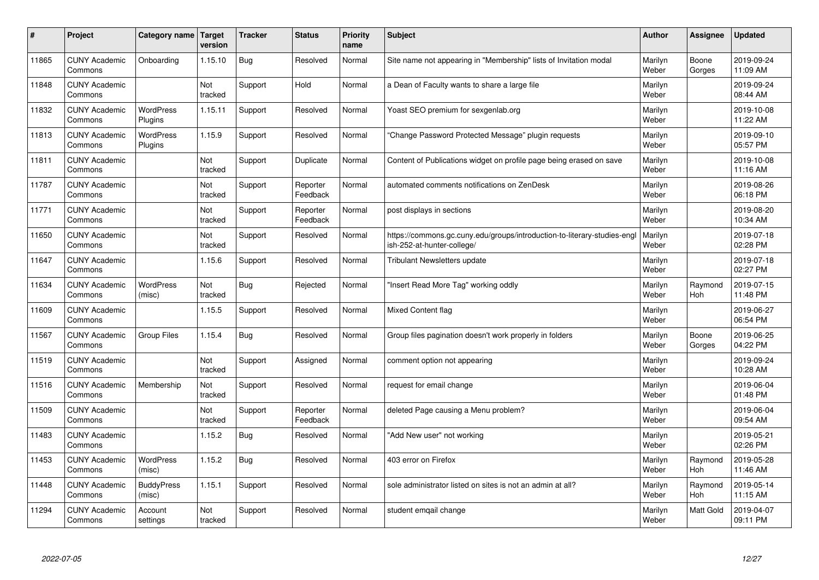| #     | Project                         | Category name               | Target<br>version | <b>Tracker</b> | <b>Status</b>        | <b>Priority</b><br>name | <b>Subject</b>                                                                                         | <b>Author</b>    | Assignee        | <b>Updated</b>         |
|-------|---------------------------------|-----------------------------|-------------------|----------------|----------------------|-------------------------|--------------------------------------------------------------------------------------------------------|------------------|-----------------|------------------------|
| 11865 | <b>CUNY Academic</b><br>Commons | Onboarding                  | 1.15.10           | Bug            | Resolved             | Normal                  | Site name not appearing in "Membership" lists of Invitation modal                                      | Marilyn<br>Weber | Boone<br>Gorges | 2019-09-24<br>11:09 AM |
| 11848 | <b>CUNY Academic</b><br>Commons |                             | Not<br>tracked    | Support        | Hold                 | Normal                  | a Dean of Faculty wants to share a large file                                                          | Marilyn<br>Weber |                 | 2019-09-24<br>08:44 AM |
| 11832 | <b>CUNY Academic</b><br>Commons | <b>WordPress</b><br>Plugins | 1.15.11           | Support        | Resolved             | Normal                  | Yoast SEO premium for sexgenlab.org                                                                    | Marilyn<br>Weber |                 | 2019-10-08<br>11:22 AM |
| 11813 | <b>CUNY Academic</b><br>Commons | <b>WordPress</b><br>Plugins | 1.15.9            | Support        | Resolved             | Normal                  | 'Change Password Protected Message" plugin requests                                                    | Marilyn<br>Weber |                 | 2019-09-10<br>05:57 PM |
| 11811 | <b>CUNY Academic</b><br>Commons |                             | Not<br>tracked    | Support        | Duplicate            | Normal                  | Content of Publications widget on profile page being erased on save                                    | Marilyn<br>Weber |                 | 2019-10-08<br>11:16 AM |
| 11787 | <b>CUNY Academic</b><br>Commons |                             | Not<br>tracked    | Support        | Reporter<br>Feedback | Normal                  | automated comments notifications on ZenDesk                                                            | Marilyn<br>Weber |                 | 2019-08-26<br>06:18 PM |
| 11771 | <b>CUNY Academic</b><br>Commons |                             | Not<br>tracked    | Support        | Reporter<br>Feedback | Normal                  | post displays in sections                                                                              | Marilyn<br>Weber |                 | 2019-08-20<br>10:34 AM |
| 11650 | <b>CUNY Academic</b><br>Commons |                             | Not<br>tracked    | Support        | Resolved             | Normal                  | https://commons.gc.cuny.edu/groups/introduction-to-literary-studies-engl<br>ish-252-at-hunter-college/ | Marilyn<br>Weber |                 | 2019-07-18<br>02:28 PM |
| 11647 | <b>CUNY Academic</b><br>Commons |                             | 1.15.6            | Support        | Resolved             | Normal                  | <b>Tribulant Newsletters update</b>                                                                    | Marilyn<br>Weber |                 | 2019-07-18<br>02:27 PM |
| 11634 | <b>CUNY Academic</b><br>Commons | <b>WordPress</b><br>(misc)  | Not<br>tracked    | <b>Bug</b>     | Rejected             | Normal                  | 'Insert Read More Tag" working oddly                                                                   | Marilyn<br>Weber | Raymond<br>Hoh  | 2019-07-15<br>11:48 PM |
| 11609 | <b>CUNY Academic</b><br>Commons |                             | 1.15.5            | Support        | Resolved             | Normal                  | <b>Mixed Content flag</b>                                                                              | Marilyn<br>Weber |                 | 2019-06-27<br>06:54 PM |
| 11567 | <b>CUNY Academic</b><br>Commons | Group Files                 | 1.15.4            | Bug            | Resolved             | Normal                  | Group files pagination doesn't work properly in folders                                                | Marilyn<br>Weber | Boone<br>Gorges | 2019-06-25<br>04:22 PM |
| 11519 | <b>CUNY Academic</b><br>Commons |                             | Not<br>tracked    | Support        | Assigned             | Normal                  | comment option not appearing                                                                           | Marilyn<br>Weber |                 | 2019-09-24<br>10:28 AM |
| 11516 | <b>CUNY Academic</b><br>Commons | Membership                  | Not<br>tracked    | Support        | Resolved             | Normal                  | request for email change                                                                               | Marilyn<br>Weber |                 | 2019-06-04<br>01:48 PM |
| 11509 | <b>CUNY Academic</b><br>Commons |                             | Not<br>tracked    | Support        | Reporter<br>Feedback | Normal                  | deleted Page causing a Menu problem?                                                                   | Marilyn<br>Weber |                 | 2019-06-04<br>09:54 AM |
| 11483 | <b>CUNY Academic</b><br>Commons |                             | 1.15.2            | <b>Bug</b>     | Resolved             | Normal                  | "Add New user" not working                                                                             | Marilyn<br>Weber |                 | 2019-05-21<br>02:26 PM |
| 11453 | <b>CUNY Academic</b><br>Commons | WordPress<br>(misc)         | 1.15.2            | <b>Bug</b>     | Resolved             | Normal                  | 403 error on Firefox                                                                                   | Marilyn<br>Weber | Raymond<br>Hoh  | 2019-05-28<br>11:46 AM |
| 11448 | <b>CUNY Academic</b><br>Commons | <b>BuddyPress</b><br>(misc) | 1.15.1            | Support        | Resolved             | Normal                  | sole administrator listed on sites is not an admin at all?                                             | Marilyn<br>Weber | Raymond<br>Hoh  | 2019-05-14<br>11:15 AM |
| 11294 | <b>CUNY Academic</b><br>Commons | Account<br>settings         | Not<br>tracked    | Support        | Resolved             | Normal                  | student emgail change                                                                                  | Marilyn<br>Weber | Matt Gold       | 2019-04-07<br>09:11 PM |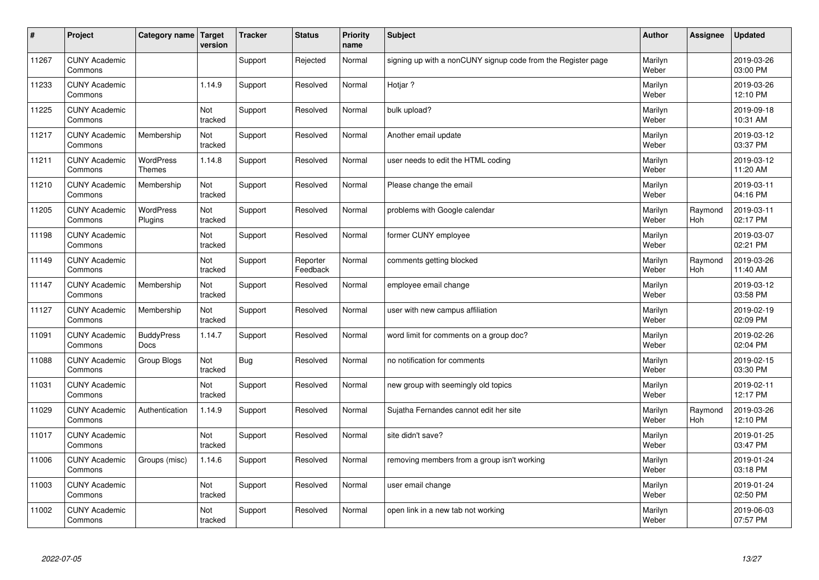| $\sharp$ | Project                         | Category name   Target            | version        | <b>Tracker</b> | <b>Status</b>        | <b>Priority</b><br>name | <b>Subject</b>                                               | <b>Author</b>    | Assignee       | <b>Updated</b>         |
|----------|---------------------------------|-----------------------------------|----------------|----------------|----------------------|-------------------------|--------------------------------------------------------------|------------------|----------------|------------------------|
| 11267    | <b>CUNY Academic</b><br>Commons |                                   |                | Support        | Rejected             | Normal                  | signing up with a nonCUNY signup code from the Register page | Marilyn<br>Weber |                | 2019-03-26<br>03:00 PM |
| 11233    | <b>CUNY Academic</b><br>Commons |                                   | 1.14.9         | Support        | Resolved             | Normal                  | Hotiar?                                                      | Marilyn<br>Weber |                | 2019-03-26<br>12:10 PM |
| 11225    | <b>CUNY Academic</b><br>Commons |                                   | Not<br>tracked | Support        | Resolved             | Normal                  | bulk upload?                                                 | Marilyn<br>Weber |                | 2019-09-18<br>10:31 AM |
| 11217    | <b>CUNY Academic</b><br>Commons | Membership                        | Not<br>tracked | Support        | Resolved             | Normal                  | Another email update                                         | Marilyn<br>Weber |                | 2019-03-12<br>03:37 PM |
| 11211    | <b>CUNY Academic</b><br>Commons | <b>WordPress</b><br><b>Themes</b> | 1.14.8         | Support        | Resolved             | Normal                  | user needs to edit the HTML coding                           | Marilyn<br>Weber |                | 2019-03-12<br>11:20 AM |
| 11210    | <b>CUNY Academic</b><br>Commons | Membership                        | Not<br>tracked | Support        | Resolved             | Normal                  | Please change the email                                      | Marilyn<br>Weber |                | 2019-03-11<br>04:16 PM |
| 11205    | <b>CUNY Academic</b><br>Commons | <b>WordPress</b><br>Plugins       | Not<br>tracked | Support        | Resolved             | Normal                  | problems with Google calendar                                | Marilyn<br>Weber | Raymond<br>Hoh | 2019-03-11<br>02:17 PM |
| 11198    | <b>CUNY Academic</b><br>Commons |                                   | Not<br>tracked | Support        | Resolved             | Normal                  | former CUNY employee                                         | Marilyn<br>Weber |                | 2019-03-07<br>02:21 PM |
| 11149    | <b>CUNY Academic</b><br>Commons |                                   | Not<br>tracked | Support        | Reporter<br>Feedback | Normal                  | comments getting blocked                                     | Marilyn<br>Weber | Raymond<br>Hoh | 2019-03-26<br>11:40 AM |
| 11147    | <b>CUNY Academic</b><br>Commons | Membership                        | Not<br>tracked | Support        | Resolved             | Normal                  | employee email change                                        | Marilyn<br>Weber |                | 2019-03-12<br>03:58 PM |
| 11127    | <b>CUNY Academic</b><br>Commons | Membership                        | Not<br>tracked | Support        | Resolved             | Normal                  | user with new campus affiliation                             | Marilyn<br>Weber |                | 2019-02-19<br>02:09 PM |
| 11091    | <b>CUNY Academic</b><br>Commons | <b>BuddyPress</b><br>Docs         | 1.14.7         | Support        | Resolved             | Normal                  | word limit for comments on a group doc?                      | Marilyn<br>Weber |                | 2019-02-26<br>02:04 PM |
| 11088    | <b>CUNY Academic</b><br>Commons | Group Blogs                       | Not<br>tracked | Bug            | Resolved             | Normal                  | no notification for comments                                 | Marilyn<br>Weber |                | 2019-02-15<br>03:30 PM |
| 11031    | <b>CUNY Academic</b><br>Commons |                                   | Not<br>tracked | Support        | Resolved             | Normal                  | new group with seemingly old topics                          | Marilyn<br>Weber |                | 2019-02-11<br>12:17 PM |
| 11029    | <b>CUNY Academic</b><br>Commons | Authentication                    | 1.14.9         | Support        | Resolved             | Normal                  | Sujatha Fernandes cannot edit her site                       | Marilyn<br>Weber | Raymond<br>Hoh | 2019-03-26<br>12:10 PM |
| 11017    | <b>CUNY Academic</b><br>Commons |                                   | Not<br>tracked | Support        | Resolved             | Normal                  | site didn't save?                                            | Marilyn<br>Weber |                | 2019-01-25<br>03:47 PM |
| 11006    | <b>CUNY Academic</b><br>Commons | Groups (misc)                     | 1.14.6         | Support        | Resolved             | Normal                  | removing members from a group isn't working                  | Marilyn<br>Weber |                | 2019-01-24<br>03:18 PM |
| 11003    | <b>CUNY Academic</b><br>Commons |                                   | Not<br>tracked | Support        | Resolved             | Normal                  | user email change                                            | Marilyn<br>Weber |                | 2019-01-24<br>02:50 PM |
| 11002    | <b>CUNY Academic</b><br>Commons |                                   | Not<br>tracked | Support        | Resolved             | Normal                  | open link in a new tab not working                           | Marilyn<br>Weber |                | 2019-06-03<br>07:57 PM |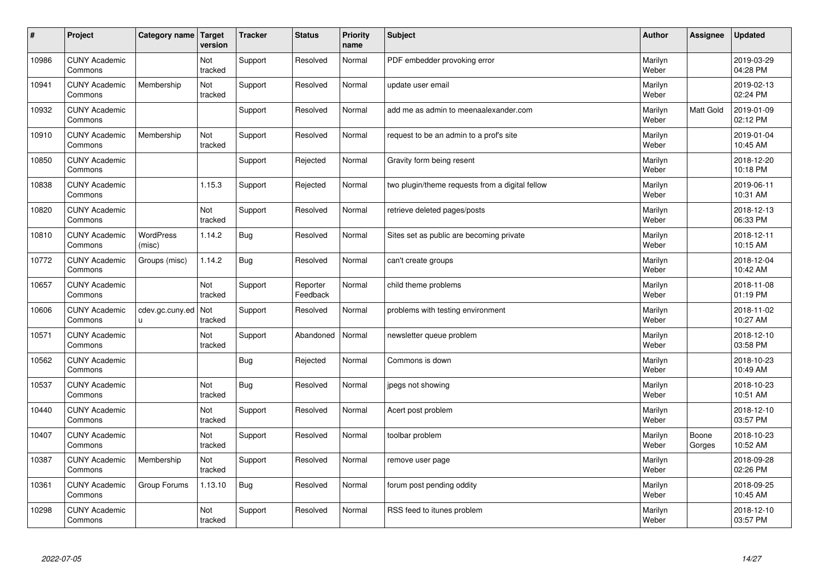| #     | Project                         | Category name   Target | version        | <b>Tracker</b> | <b>Status</b>        | <b>Priority</b><br>name | <b>Subject</b>                                  | <b>Author</b>    | Assignee        | <b>Updated</b>         |
|-------|---------------------------------|------------------------|----------------|----------------|----------------------|-------------------------|-------------------------------------------------|------------------|-----------------|------------------------|
| 10986 | <b>CUNY Academic</b><br>Commons |                        | Not<br>tracked | Support        | Resolved             | Normal                  | PDF embedder provoking error                    | Marilyn<br>Weber |                 | 2019-03-29<br>04:28 PM |
| 10941 | <b>CUNY Academic</b><br>Commons | Membership             | Not<br>tracked | Support        | Resolved             | Normal                  | update user email                               | Marilyn<br>Weber |                 | 2019-02-13<br>02:24 PM |
| 10932 | <b>CUNY Academic</b><br>Commons |                        |                | Support        | Resolved             | Normal                  | add me as admin to meenaalexander.com           | Marilyn<br>Weber | Matt Gold       | 2019-01-09<br>02:12 PM |
| 10910 | <b>CUNY Academic</b><br>Commons | Membership             | Not<br>tracked | Support        | Resolved             | Normal                  | request to be an admin to a prof's site         | Marilyn<br>Weber |                 | 2019-01-04<br>10:45 AM |
| 10850 | <b>CUNY Academic</b><br>Commons |                        |                | Support        | Rejected             | Normal                  | Gravity form being resent                       | Marilyn<br>Weber |                 | 2018-12-20<br>10:18 PM |
| 10838 | <b>CUNY Academic</b><br>Commons |                        | 1.15.3         | Support        | Rejected             | Normal                  | two plugin/theme requests from a digital fellow | Marilyn<br>Weber |                 | 2019-06-11<br>10:31 AM |
| 10820 | <b>CUNY Academic</b><br>Commons |                        | Not<br>tracked | Support        | Resolved             | Normal                  | retrieve deleted pages/posts                    | Marilyn<br>Weber |                 | 2018-12-13<br>06:33 PM |
| 10810 | <b>CUNY Academic</b><br>Commons | WordPress<br>(misc)    | 1.14.2         | Bug            | Resolved             | Normal                  | Sites set as public are becoming private        | Marilyn<br>Weber |                 | 2018-12-11<br>10:15 AM |
| 10772 | <b>CUNY Academic</b><br>Commons | Groups (misc)          | 1.14.2         | <b>Bug</b>     | Resolved             | Normal                  | can't create groups                             | Marilyn<br>Weber |                 | 2018-12-04<br>10:42 AM |
| 10657 | <b>CUNY Academic</b><br>Commons |                        | Not<br>tracked | Support        | Reporter<br>Feedback | Normal                  | child theme problems                            | Marilyn<br>Weber |                 | 2018-11-08<br>01:19 PM |
| 10606 | <b>CUNY Academic</b><br>Commons | cdev.gc.cuny.ed<br>П   | Not<br>tracked | Support        | Resolved             | Normal                  | problems with testing environment               | Marilyn<br>Weber |                 | 2018-11-02<br>10:27 AM |
| 10571 | <b>CUNY Academic</b><br>Commons |                        | Not<br>tracked | Support        | Abandoned            | Normal                  | newsletter queue problem                        | Marilyn<br>Weber |                 | 2018-12-10<br>03:58 PM |
| 10562 | <b>CUNY Academic</b><br>Commons |                        |                | Bug            | Rejected             | Normal                  | Commons is down                                 | Marilyn<br>Weber |                 | 2018-10-23<br>10:49 AM |
| 10537 | <b>CUNY Academic</b><br>Commons |                        | Not<br>tracked | <b>Bug</b>     | Resolved             | Normal                  | jpegs not showing                               | Marilyn<br>Weber |                 | 2018-10-23<br>10:51 AM |
| 10440 | <b>CUNY Academic</b><br>Commons |                        | Not<br>tracked | Support        | Resolved             | Normal                  | Acert post problem                              | Marilyn<br>Weber |                 | 2018-12-10<br>03:57 PM |
| 10407 | <b>CUNY Academic</b><br>Commons |                        | Not<br>tracked | Support        | Resolved             | Normal                  | toolbar problem                                 | Marilyn<br>Weber | Boone<br>Gorges | 2018-10-23<br>10:52 AM |
| 10387 | <b>CUNY Academic</b><br>Commons | Membership             | Not<br>tracked | Support        | Resolved             | Normal                  | remove user page                                | Marilyn<br>Weber |                 | 2018-09-28<br>02:26 PM |
| 10361 | <b>CUNY Academic</b><br>Commons | Group Forums           | 1.13.10        | <b>Bug</b>     | Resolved             | Normal                  | forum post pending oddity                       | Marilyn<br>Weber |                 | 2018-09-25<br>10:45 AM |
| 10298 | <b>CUNY Academic</b><br>Commons |                        | Not<br>tracked | Support        | Resolved             | Normal                  | RSS feed to itunes problem                      | Marilyn<br>Weber |                 | 2018-12-10<br>03:57 PM |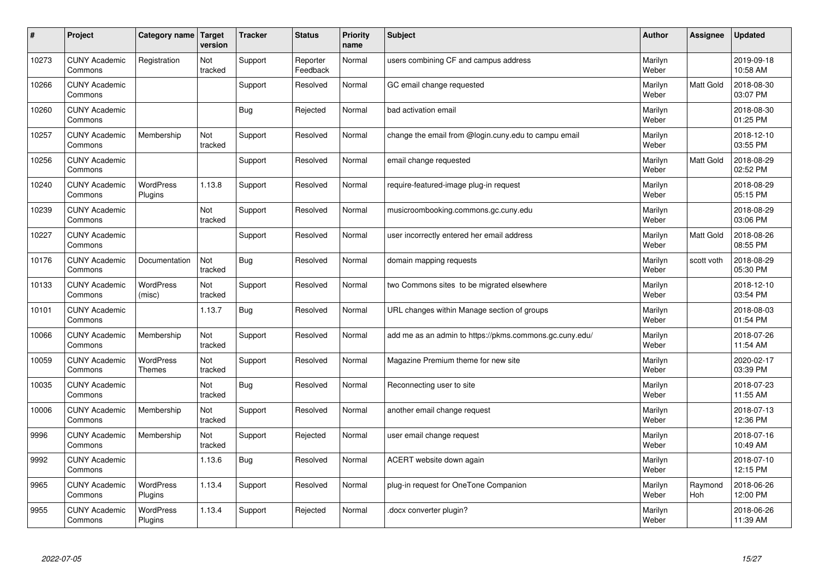| #     | Project                         | Category name   Target            | version        | <b>Tracker</b> | <b>Status</b>        | <b>Priority</b><br>name | <b>Subject</b>                                          | <b>Author</b>    | Assignee         | <b>Updated</b>         |
|-------|---------------------------------|-----------------------------------|----------------|----------------|----------------------|-------------------------|---------------------------------------------------------|------------------|------------------|------------------------|
| 10273 | <b>CUNY Academic</b><br>Commons | Registration                      | Not<br>tracked | Support        | Reporter<br>Feedback | Normal                  | users combining CF and campus address                   | Marilyn<br>Weber |                  | 2019-09-18<br>10:58 AM |
| 10266 | <b>CUNY Academic</b><br>Commons |                                   |                | Support        | Resolved             | Normal                  | GC email change requested                               | Marilyn<br>Weber | <b>Matt Gold</b> | 2018-08-30<br>03:07 PM |
| 10260 | <b>CUNY Academic</b><br>Commons |                                   |                | <b>Bug</b>     | Rejected             | Normal                  | bad activation email                                    | Marilyn<br>Weber |                  | 2018-08-30<br>01:25 PM |
| 10257 | <b>CUNY Academic</b><br>Commons | Membership                        | Not<br>tracked | Support        | Resolved             | Normal                  | change the email from @login.cuny.edu to campu email    | Marilyn<br>Weber |                  | 2018-12-10<br>03:55 PM |
| 10256 | <b>CUNY Academic</b><br>Commons |                                   |                | Support        | Resolved             | Normal                  | email change requested                                  | Marilyn<br>Weber | Matt Gold        | 2018-08-29<br>02:52 PM |
| 10240 | <b>CUNY Academic</b><br>Commons | <b>WordPress</b><br>Plugins       | 1.13.8         | Support        | Resolved             | Normal                  | require-featured-image plug-in request                  | Marilyn<br>Weber |                  | 2018-08-29<br>05:15 PM |
| 10239 | <b>CUNY Academic</b><br>Commons |                                   | Not<br>tracked | Support        | Resolved             | Normal                  | musicroombooking.commons.gc.cuny.edu                    | Marilyn<br>Weber |                  | 2018-08-29<br>03:06 PM |
| 10227 | <b>CUNY Academic</b><br>Commons |                                   |                | Support        | Resolved             | Normal                  | user incorrectly entered her email address              | Marilyn<br>Weber | Matt Gold        | 2018-08-26<br>08:55 PM |
| 10176 | <b>CUNY Academic</b><br>Commons | Documentation                     | Not<br>tracked | Bug            | Resolved             | Normal                  | domain mapping requests                                 | Marilyn<br>Weber | scott voth       | 2018-08-29<br>05:30 PM |
| 10133 | <b>CUNY Academic</b><br>Commons | WordPress<br>(misc)               | Not<br>tracked | Support        | Resolved             | Normal                  | two Commons sites to be migrated elsewhere              | Marilyn<br>Weber |                  | 2018-12-10<br>03:54 PM |
| 10101 | <b>CUNY Academic</b><br>Commons |                                   | 1.13.7         | <b>Bug</b>     | Resolved             | Normal                  | URL changes within Manage section of groups             | Marilyn<br>Weber |                  | 2018-08-03<br>01:54 PM |
| 10066 | <b>CUNY Academic</b><br>Commons | Membership                        | Not<br>tracked | Support        | Resolved             | Normal                  | add me as an admin to https://pkms.commons.gc.cuny.edu/ | Marilyn<br>Weber |                  | 2018-07-26<br>11:54 AM |
| 10059 | <b>CUNY Academic</b><br>Commons | <b>WordPress</b><br><b>Themes</b> | Not<br>tracked | Support        | Resolved             | Normal                  | Magazine Premium theme for new site                     | Marilyn<br>Weber |                  | 2020-02-17<br>03:39 PM |
| 10035 | <b>CUNY Academic</b><br>Commons |                                   | Not<br>tracked | Bug            | Resolved             | Normal                  | Reconnecting user to site                               | Marilyn<br>Weber |                  | 2018-07-23<br>11:55 AM |
| 10006 | <b>CUNY Academic</b><br>Commons | Membership                        | Not<br>tracked | Support        | Resolved             | Normal                  | another email change request                            | Marilyn<br>Weber |                  | 2018-07-13<br>12:36 PM |
| 9996  | <b>CUNY Academic</b><br>Commons | Membership                        | Not<br>tracked | Support        | Rejected             | Normal                  | user email change request                               | Marilyn<br>Weber |                  | 2018-07-16<br>10:49 AM |
| 9992  | <b>CUNY Academic</b><br>Commons |                                   | 1.13.6         | Bug            | Resolved             | Normal                  | ACERT website down again                                | Marilyn<br>Weber |                  | 2018-07-10<br>12:15 PM |
| 9965  | <b>CUNY Academic</b><br>Commons | <b>WordPress</b><br>Plugins       | 1.13.4         | Support        | Resolved             | Normal                  | plug-in request for OneTone Companion                   | Marilyn<br>Weber | Raymond<br>Hoh   | 2018-06-26<br>12:00 PM |
| 9955  | <b>CUNY Academic</b><br>Commons | <b>WordPress</b><br>Plugins       | 1.13.4         | Support        | Rejected             | Normal                  | docx converter plugin?                                  | Marilyn<br>Weber |                  | 2018-06-26<br>11:39 AM |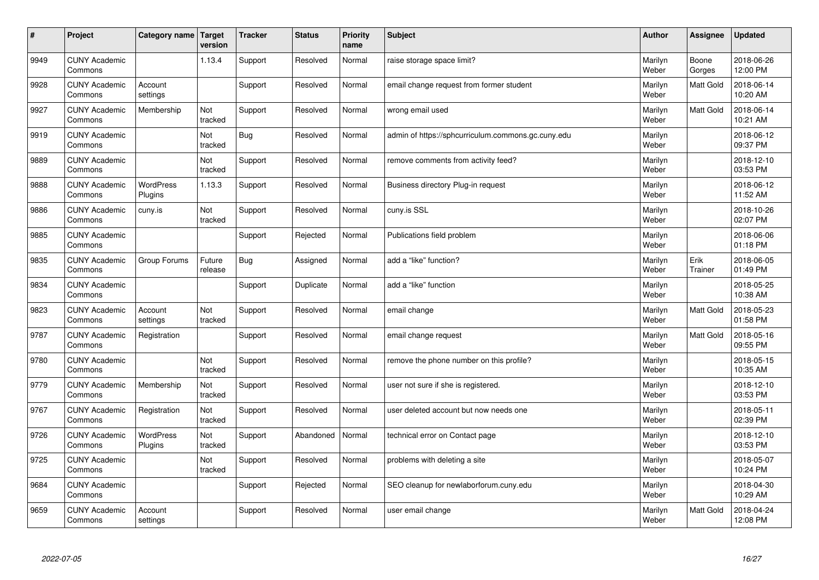| #    | Project                         | <b>Category name</b>        | Target<br>version | <b>Tracker</b> | <b>Status</b> | <b>Priority</b><br>name | <b>Subject</b>                                     | <b>Author</b>    | Assignee         | <b>Updated</b>         |
|------|---------------------------------|-----------------------------|-------------------|----------------|---------------|-------------------------|----------------------------------------------------|------------------|------------------|------------------------|
| 9949 | <b>CUNY Academic</b><br>Commons |                             | 1.13.4            | Support        | Resolved      | Normal                  | raise storage space limit?                         | Marilyn<br>Weber | Boone<br>Gorges  | 2018-06-26<br>12:00 PM |
| 9928 | <b>CUNY Academic</b><br>Commons | Account<br>settings         |                   | Support        | Resolved      | Normal                  | email change request from former student           | Marilyn<br>Weber | <b>Matt Gold</b> | 2018-06-14<br>10:20 AM |
| 9927 | <b>CUNY Academic</b><br>Commons | Membership                  | Not<br>tracked    | Support        | Resolved      | Normal                  | wrong email used                                   | Marilyn<br>Weber | Matt Gold        | 2018-06-14<br>10:21 AM |
| 9919 | <b>CUNY Academic</b><br>Commons |                             | Not<br>tracked    | Bug            | Resolved      | Normal                  | admin of https://sphcurriculum.commons.gc.cuny.edu | Marilyn<br>Weber |                  | 2018-06-12<br>09:37 PM |
| 9889 | <b>CUNY Academic</b><br>Commons |                             | Not<br>tracked    | Support        | Resolved      | Normal                  | remove comments from activity feed?                | Marilyn<br>Weber |                  | 2018-12-10<br>03:53 PM |
| 9888 | <b>CUNY Academic</b><br>Commons | <b>WordPress</b><br>Plugins | 1.13.3            | Support        | Resolved      | Normal                  | Business directory Plug-in request                 | Marilyn<br>Weber |                  | 2018-06-12<br>11:52 AM |
| 9886 | <b>CUNY Academic</b><br>Commons | cuny.is                     | Not<br>tracked    | Support        | Resolved      | Normal                  | cuny.is SSL                                        | Marilyn<br>Weber |                  | 2018-10-26<br>02:07 PM |
| 9885 | <b>CUNY Academic</b><br>Commons |                             |                   | Support        | Rejected      | Normal                  | Publications field problem                         | Marilyn<br>Weber |                  | 2018-06-06<br>01:18 PM |
| 9835 | <b>CUNY Academic</b><br>Commons | Group Forums                | Future<br>release | Bug            | Assigned      | Normal                  | add a "like" function?                             | Marilyn<br>Weber | Erik<br>Trainer  | 2018-06-05<br>01:49 PM |
| 9834 | <b>CUNY Academic</b><br>Commons |                             |                   | Support        | Duplicate     | Normal                  | add a "like" function                              | Marilyn<br>Weber |                  | 2018-05-25<br>10:38 AM |
| 9823 | <b>CUNY Academic</b><br>Commons | Account<br>settings         | Not<br>tracked    | Support        | Resolved      | Normal                  | email change                                       | Marilyn<br>Weber | Matt Gold        | 2018-05-23<br>01:58 PM |
| 9787 | <b>CUNY Academic</b><br>Commons | Registration                |                   | Support        | Resolved      | Normal                  | email change request                               | Marilyn<br>Weber | <b>Matt Gold</b> | 2018-05-16<br>09:55 PM |
| 9780 | <b>CUNY Academic</b><br>Commons |                             | Not<br>tracked    | Support        | Resolved      | Normal                  | remove the phone number on this profile?           | Marilyn<br>Weber |                  | 2018-05-15<br>10:35 AM |
| 9779 | <b>CUNY Academic</b><br>Commons | Membership                  | Not<br>tracked    | Support        | Resolved      | Normal                  | user not sure if she is registered.                | Marilyn<br>Weber |                  | 2018-12-10<br>03:53 PM |
| 9767 | <b>CUNY Academic</b><br>Commons | Registration                | Not<br>tracked    | Support        | Resolved      | Normal                  | user deleted account but now needs one             | Marilyn<br>Weber |                  | 2018-05-11<br>02:39 PM |
| 9726 | <b>CUNY Academic</b><br>Commons | <b>WordPress</b><br>Plugins | Not<br>tracked    | Support        | Abandoned     | Normal                  | technical error on Contact page                    | Marilyn<br>Weber |                  | 2018-12-10<br>03:53 PM |
| 9725 | <b>CUNY Academic</b><br>Commons |                             | Not<br>tracked    | Support        | Resolved      | Normal                  | problems with deleting a site                      | Marilyn<br>Weber |                  | 2018-05-07<br>10:24 PM |
| 9684 | <b>CUNY Academic</b><br>Commons |                             |                   | Support        | Rejected      | Normal                  | SEO cleanup for newlaborforum.cuny.edu             | Marilyn<br>Weber |                  | 2018-04-30<br>10:29 AM |
| 9659 | <b>CUNY Academic</b><br>Commons | Account<br>settings         |                   | Support        | Resolved      | Normal                  | user email change                                  | Marilyn<br>Weber | <b>Matt Gold</b> | 2018-04-24<br>12:08 PM |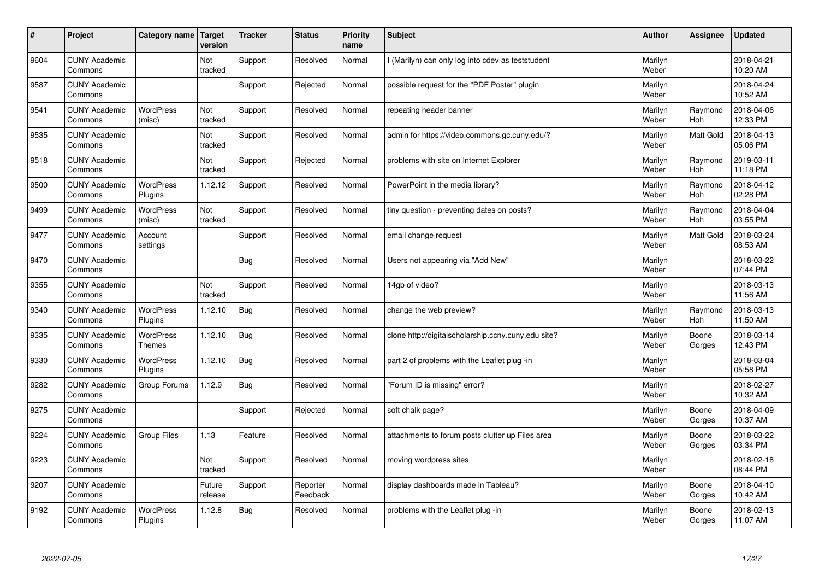| $\sharp$ | Project                         | Category name                     | Target<br>version | <b>Tracker</b> | <b>Status</b>        | <b>Priority</b><br>name | <b>Subject</b>                                      | <b>Author</b>    | Assignee        | <b>Updated</b>         |
|----------|---------------------------------|-----------------------------------|-------------------|----------------|----------------------|-------------------------|-----------------------------------------------------|------------------|-----------------|------------------------|
| 9604     | <b>CUNY Academic</b><br>Commons |                                   | Not<br>tracked    | Support        | Resolved             | Normal                  | I (Marilyn) can only log into cdev as teststudent   | Marilyn<br>Weber |                 | 2018-04-21<br>10:20 AM |
| 9587     | <b>CUNY Academic</b><br>Commons |                                   |                   | Support        | Rejected             | Normal                  | possible request for the "PDF Poster" plugin        | Marilyn<br>Weber |                 | 2018-04-24<br>10:52 AM |
| 9541     | <b>CUNY Academic</b><br>Commons | <b>WordPress</b><br>(misc)        | Not<br>tracked    | Support        | Resolved             | Normal                  | repeating header banner                             | Marilyn<br>Weber | Raymond<br>Hoh  | 2018-04-06<br>12:33 PM |
| 9535     | <b>CUNY Academic</b><br>Commons |                                   | Not<br>tracked    | Support        | Resolved             | Normal                  | admin for https://video.commons.gc.cuny.edu/?       | Marilyn<br>Weber | Matt Gold       | 2018-04-13<br>05:06 PM |
| 9518     | <b>CUNY Academic</b><br>Commons |                                   | Not<br>tracked    | Support        | Rejected             | Normal                  | problems with site on Internet Explorer             | Marilyn<br>Weber | Raymond<br>Hoh  | 2019-03-11<br>11:18 PM |
| 9500     | <b>CUNY Academic</b><br>Commons | <b>WordPress</b><br>Plugins       | 1.12.12           | Support        | Resolved             | Normal                  | PowerPoint in the media library?                    | Marilyn<br>Weber | Raymond<br>Hoh  | 2018-04-12<br>02:28 PM |
| 9499     | <b>CUNY Academic</b><br>Commons | <b>WordPress</b><br>(misc)        | Not<br>tracked    | Support        | Resolved             | Normal                  | tiny question - preventing dates on posts?          | Marilyn<br>Weber | Raymond<br>Hoh  | 2018-04-04<br>03:55 PM |
| 9477     | <b>CUNY Academic</b><br>Commons | Account<br>settings               |                   | Support        | Resolved             | Normal                  | email change request                                | Marilyn<br>Weber | Matt Gold       | 2018-03-24<br>08:53 AM |
| 9470     | <b>CUNY Academic</b><br>Commons |                                   |                   | Bug            | Resolved             | Normal                  | Users not appearing via "Add New"                   | Marilyn<br>Weber |                 | 2018-03-22<br>07:44 PM |
| 9355     | <b>CUNY Academic</b><br>Commons |                                   | Not<br>tracked    | Support        | Resolved             | Normal                  | 14gb of video?                                      | Marilyn<br>Weber |                 | 2018-03-13<br>11:56 AM |
| 9340     | <b>CUNY Academic</b><br>Commons | <b>WordPress</b><br>Plugins       | 1.12.10           | <b>Bug</b>     | Resolved             | Normal                  | change the web preview?                             | Marilyn<br>Weber | Raymond<br>Hoh  | 2018-03-13<br>11:50 AM |
| 9335     | <b>CUNY Academic</b><br>Commons | <b>WordPress</b><br><b>Themes</b> | 1.12.10           | <b>Bug</b>     | Resolved             | Normal                  | clone http://digitalscholarship.ccny.cuny.edu site? | Marilyn<br>Weber | Boone<br>Gorges | 2018-03-14<br>12:43 PM |
| 9330     | <b>CUNY Academic</b><br>Commons | <b>WordPress</b><br>Plugins       | 1.12.10           | Bug            | Resolved             | Normal                  | part 2 of problems with the Leaflet plug -in        | Marilyn<br>Weber |                 | 2018-03-04<br>05:58 PM |
| 9282     | <b>CUNY Academic</b><br>Commons | Group Forums                      | 1.12.9            | Bug            | Resolved             | Normal                  | 'Forum ID is missing" error?                        | Marilyn<br>Weber |                 | 2018-02-27<br>10:32 AM |
| 9275     | <b>CUNY Academic</b><br>Commons |                                   |                   | Support        | Rejected             | Normal                  | soft chalk page?                                    | Marilyn<br>Weber | Boone<br>Gorges | 2018-04-09<br>10:37 AM |
| 9224     | <b>CUNY Academic</b><br>Commons | <b>Group Files</b>                | 1.13              | Feature        | Resolved             | Normal                  | attachments to forum posts clutter up Files area    | Marilyn<br>Weber | Boone<br>Gorges | 2018-03-22<br>03:34 PM |
| 9223     | <b>CUNY Academic</b><br>Commons |                                   | Not<br>tracked    | Support        | Resolved             | Normal                  | moving wordpress sites                              | Marilyn<br>Weber |                 | 2018-02-18<br>08:44 PM |
| 9207     | <b>CUNY Academic</b><br>Commons |                                   | Future<br>release | Support        | Reporter<br>Feedback | Normal                  | display dashboards made in Tableau?                 | Marilyn<br>Weber | Boone<br>Gorges | 2018-04-10<br>10:42 AM |
| 9192     | <b>CUNY Academic</b><br>Commons | <b>WordPress</b><br>Plugins       | 1.12.8            | Bug            | Resolved             | Normal                  | problems with the Leaflet plug -in                  | Marilyn<br>Weber | Boone<br>Gorges | 2018-02-13<br>11:07 AM |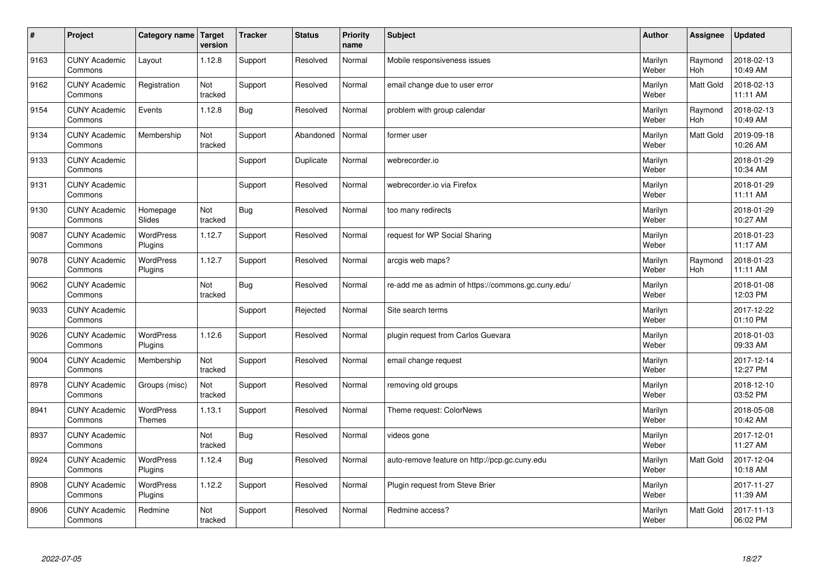| $\sharp$ | Project                         | Category name   Target      | version        | <b>Tracker</b> | <b>Status</b> | <b>Priority</b><br>name | <b>Subject</b>                                     | <b>Author</b>    | Assignee              | <b>Updated</b>         |
|----------|---------------------------------|-----------------------------|----------------|----------------|---------------|-------------------------|----------------------------------------------------|------------------|-----------------------|------------------------|
| 9163     | <b>CUNY Academic</b><br>Commons | Layout                      | 1.12.8         | Support        | Resolved      | Normal                  | Mobile responsiveness issues                       | Marilyn<br>Weber | Raymond<br><b>Hoh</b> | 2018-02-13<br>10:49 AM |
| 9162     | <b>CUNY Academic</b><br>Commons | Registration                | Not<br>tracked | Support        | Resolved      | Normal                  | email change due to user error                     | Marilyn<br>Weber | <b>Matt Gold</b>      | 2018-02-13<br>11:11 AM |
| 9154     | <b>CUNY Academic</b><br>Commons | Events                      | 1.12.8         | <b>Bug</b>     | Resolved      | Normal                  | problem with group calendar                        | Marilyn<br>Weber | Raymond<br>Hoh        | 2018-02-13<br>10:49 AM |
| 9134     | <b>CUNY Academic</b><br>Commons | Membership                  | Not<br>tracked | Support        | Abandoned     | Normal                  | former user                                        | Marilyn<br>Weber | Matt Gold             | 2019-09-18<br>10:26 AM |
| 9133     | <b>CUNY Academic</b><br>Commons |                             |                | Support        | Duplicate     | Normal                  | webrecorder.io                                     | Marilyn<br>Weber |                       | 2018-01-29<br>10:34 AM |
| 9131     | <b>CUNY Academic</b><br>Commons |                             |                | Support        | Resolved      | Normal                  | webrecorder.io via Firefox                         | Marilyn<br>Weber |                       | 2018-01-29<br>11:11 AM |
| 9130     | <b>CUNY Academic</b><br>Commons | Homepage<br>Slides          | Not<br>tracked | Bug            | Resolved      | Normal                  | too many redirects                                 | Marilyn<br>Weber |                       | 2018-01-29<br>10:27 AM |
| 9087     | <b>CUNY Academic</b><br>Commons | WordPress<br>Plugins        | 1.12.7         | Support        | Resolved      | Normal                  | request for WP Social Sharing                      | Marilyn<br>Weber |                       | 2018-01-23<br>11:17 AM |
| 9078     | <b>CUNY Academic</b><br>Commons | WordPress<br>Plugins        | 1.12.7         | Support        | Resolved      | Normal                  | arcgis web maps?                                   | Marilyn<br>Weber | Raymond<br>Hoh        | 2018-01-23<br>11:11 AM |
| 9062     | <b>CUNY Academic</b><br>Commons |                             | Not<br>tracked | Bug            | Resolved      | Normal                  | re-add me as admin of https://commons.gc.cuny.edu/ | Marilyn<br>Weber |                       | 2018-01-08<br>12:03 PM |
| 9033     | <b>CUNY Academic</b><br>Commons |                             |                | Support        | Rejected      | Normal                  | Site search terms                                  | Marilyn<br>Weber |                       | 2017-12-22<br>01:10 PM |
| 9026     | <b>CUNY Academic</b><br>Commons | <b>WordPress</b><br>Plugins | 1.12.6         | Support        | Resolved      | Normal                  | plugin request from Carlos Guevara                 | Marilyn<br>Weber |                       | 2018-01-03<br>09:33 AM |
| 9004     | <b>CUNY Academic</b><br>Commons | Membership                  | Not<br>tracked | Support        | Resolved      | Normal                  | email change request                               | Marilyn<br>Weber |                       | 2017-12-14<br>12:27 PM |
| 8978     | <b>CUNY Academic</b><br>Commons | Groups (misc)               | Not<br>tracked | Support        | Resolved      | Normal                  | removing old groups                                | Marilyn<br>Weber |                       | 2018-12-10<br>03:52 PM |
| 8941     | <b>CUNY Academic</b><br>Commons | WordPress<br><b>Themes</b>  | 1.13.1         | Support        | Resolved      | Normal                  | Theme request: ColorNews                           | Marilyn<br>Weber |                       | 2018-05-08<br>10:42 AM |
| 8937     | <b>CUNY Academic</b><br>Commons |                             | Not<br>tracked | <b>Bug</b>     | Resolved      | Normal                  | videos gone                                        | Marilyn<br>Weber |                       | 2017-12-01<br>11:27 AM |
| 8924     | <b>CUNY Academic</b><br>Commons | WordPress<br>Plugins        | 1.12.4         | Bug            | Resolved      | Normal                  | auto-remove feature on http://pcp.gc.cuny.edu      | Marilyn<br>Weber | <b>Matt Gold</b>      | 2017-12-04<br>10:18 AM |
| 8908     | <b>CUNY Academic</b><br>Commons | <b>WordPress</b><br>Plugins | 1.12.2         | Support        | Resolved      | Normal                  | Plugin request from Steve Brier                    | Marilyn<br>Weber |                       | 2017-11-27<br>11:39 AM |
| 8906     | <b>CUNY Academic</b><br>Commons | Redmine                     | Not<br>tracked | Support        | Resolved      | Normal                  | Redmine access?                                    | Marilyn<br>Weber | <b>Matt Gold</b>      | 2017-11-13<br>06:02 PM |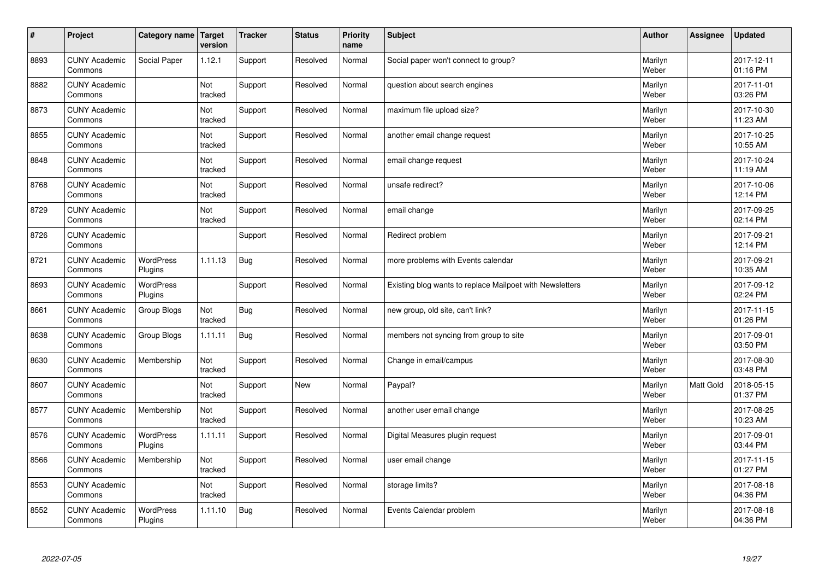| $\sharp$ | Project                         | Category name   Target      | version        | <b>Tracker</b> | <b>Status</b> | <b>Priority</b><br>name | <b>Subject</b>                                           | <b>Author</b>    | Assignee  | <b>Updated</b>         |
|----------|---------------------------------|-----------------------------|----------------|----------------|---------------|-------------------------|----------------------------------------------------------|------------------|-----------|------------------------|
| 8893     | <b>CUNY Academic</b><br>Commons | Social Paper                | 1.12.1         | Support        | Resolved      | Normal                  | Social paper won't connect to group?                     | Marilyn<br>Weber |           | 2017-12-11<br>01:16 PM |
| 8882     | <b>CUNY Academic</b><br>Commons |                             | Not<br>tracked | Support        | Resolved      | Normal                  | question about search engines                            | Marilyn<br>Weber |           | 2017-11-01<br>03:26 PM |
| 8873     | <b>CUNY Academic</b><br>Commons |                             | Not<br>tracked | Support        | Resolved      | Normal                  | maximum file upload size?                                | Marilyn<br>Weber |           | 2017-10-30<br>11:23 AM |
| 8855     | <b>CUNY Academic</b><br>Commons |                             | Not<br>tracked | Support        | Resolved      | Normal                  | another email change request                             | Marilyn<br>Weber |           | 2017-10-25<br>10:55 AM |
| 8848     | <b>CUNY Academic</b><br>Commons |                             | Not<br>tracked | Support        | Resolved      | Normal                  | email change request                                     | Marilyn<br>Weber |           | 2017-10-24<br>11:19 AM |
| 8768     | <b>CUNY Academic</b><br>Commons |                             | Not<br>tracked | Support        | Resolved      | Normal                  | unsafe redirect?                                         | Marilyn<br>Weber |           | 2017-10-06<br>12:14 PM |
| 8729     | <b>CUNY Academic</b><br>Commons |                             | Not<br>tracked | Support        | Resolved      | Normal                  | email change                                             | Marilyn<br>Weber |           | 2017-09-25<br>02:14 PM |
| 8726     | <b>CUNY Academic</b><br>Commons |                             |                | Support        | Resolved      | Normal                  | Redirect problem                                         | Marilyn<br>Weber |           | 2017-09-21<br>12:14 PM |
| 8721     | <b>CUNY Academic</b><br>Commons | <b>WordPress</b><br>Plugins | 1.11.13        | <b>Bug</b>     | Resolved      | Normal                  | more problems with Events calendar                       | Marilyn<br>Weber |           | 2017-09-21<br>10:35 AM |
| 8693     | <b>CUNY Academic</b><br>Commons | WordPress<br>Plugins        |                | Support        | Resolved      | Normal                  | Existing blog wants to replace Mailpoet with Newsletters | Marilyn<br>Weber |           | 2017-09-12<br>02:24 PM |
| 8661     | <b>CUNY Academic</b><br>Commons | Group Blogs                 | Not<br>tracked | <b>Bug</b>     | Resolved      | Normal                  | new group, old site, can't link?                         | Marilyn<br>Weber |           | 2017-11-15<br>01:26 PM |
| 8638     | <b>CUNY Academic</b><br>Commons | Group Blogs                 | 1.11.11        | Bug            | Resolved      | Normal                  | members not syncing from group to site                   | Marilyn<br>Weber |           | 2017-09-01<br>03:50 PM |
| 8630     | <b>CUNY Academic</b><br>Commons | Membership                  | Not<br>tracked | Support        | Resolved      | Normal                  | Change in email/campus                                   | Marilyn<br>Weber |           | 2017-08-30<br>03:48 PM |
| 8607     | <b>CUNY Academic</b><br>Commons |                             | Not<br>tracked | Support        | New           | Normal                  | Paypal?                                                  | Marilyn<br>Weber | Matt Gold | 2018-05-15<br>01:37 PM |
| 8577     | <b>CUNY Academic</b><br>Commons | Membership                  | Not<br>tracked | Support        | Resolved      | Normal                  | another user email change                                | Marilyn<br>Weber |           | 2017-08-25<br>10:23 AM |
| 8576     | <b>CUNY Academic</b><br>Commons | <b>WordPress</b><br>Plugins | 1.11.11        | Support        | Resolved      | Normal                  | Digital Measures plugin request                          | Marilyn<br>Weber |           | 2017-09-01<br>03:44 PM |
| 8566     | <b>CUNY Academic</b><br>Commons | Membership                  | Not<br>tracked | Support        | Resolved      | Normal                  | user email change                                        | Marilyn<br>Weber |           | 2017-11-15<br>01:27 PM |
| 8553     | <b>CUNY Academic</b><br>Commons |                             | Not<br>tracked | Support        | Resolved      | Normal                  | storage limits?                                          | Marilyn<br>Weber |           | 2017-08-18<br>04:36 PM |
| 8552     | <b>CUNY Academic</b><br>Commons | <b>WordPress</b><br>Plugins | 1.11.10        | Bug            | Resolved      | Normal                  | Events Calendar problem                                  | Marilyn<br>Weber |           | 2017-08-18<br>04:36 PM |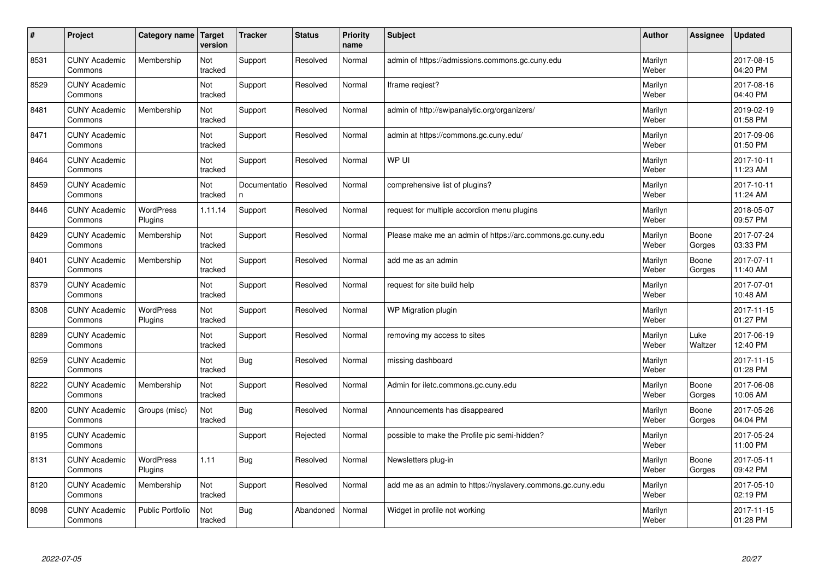| $\vert$ # | Project                         | Category name               | <b>Target</b><br>version | <b>Tracker</b>    | <b>Status</b> | <b>Priority</b><br>name | <b>Subject</b>                                              | <b>Author</b>    | Assignee        | <b>Updated</b>         |
|-----------|---------------------------------|-----------------------------|--------------------------|-------------------|---------------|-------------------------|-------------------------------------------------------------|------------------|-----------------|------------------------|
| 8531      | <b>CUNY Academic</b><br>Commons | Membership                  | Not<br>tracked           | Support           | Resolved      | Normal                  | admin of https://admissions.commons.gc.cuny.edu             | Marilyn<br>Weber |                 | 2017-08-15<br>04:20 PM |
| 8529      | <b>CUNY Academic</b><br>Commons |                             | Not<br>tracked           | Support           | Resolved      | Normal                  | Iframe regiest?                                             | Marilyn<br>Weber |                 | 2017-08-16<br>04:40 PM |
| 8481      | <b>CUNY Academic</b><br>Commons | Membership                  | Not<br>tracked           | Support           | Resolved      | Normal                  | admin of http://swipanalytic.org/organizers/                | Marilyn<br>Weber |                 | 2019-02-19<br>01:58 PM |
| 8471      | <b>CUNY Academic</b><br>Commons |                             | Not<br>tracked           | Support           | Resolved      | Normal                  | admin at https://commons.gc.cuny.edu/                       | Marilyn<br>Weber |                 | 2017-09-06<br>01:50 PM |
| 8464      | <b>CUNY Academic</b><br>Commons |                             | <b>Not</b><br>tracked    | Support           | Resolved      | Normal                  | WP UI                                                       | Marilyn<br>Weber |                 | 2017-10-11<br>11:23 AM |
| 8459      | <b>CUNY Academic</b><br>Commons |                             | Not<br>tracked           | Documentatio<br>n | Resolved      | Normal                  | comprehensive list of plugins?                              | Marilyn<br>Weber |                 | 2017-10-11<br>11:24 AM |
| 8446      | <b>CUNY Academic</b><br>Commons | <b>WordPress</b><br>Plugins | 1.11.14                  | Support           | Resolved      | Normal                  | request for multiple accordion menu plugins                 | Marilyn<br>Weber |                 | 2018-05-07<br>09:57 PM |
| 8429      | <b>CUNY Academic</b><br>Commons | Membership                  | Not<br>tracked           | Support           | Resolved      | Normal                  | Please make me an admin of https://arc.commons.gc.cuny.edu  | Marilyn<br>Weber | Boone<br>Gorges | 2017-07-24<br>03:33 PM |
| 8401      | <b>CUNY Academic</b><br>Commons | Membership                  | Not<br>tracked           | Support           | Resolved      | Normal                  | add me as an admin                                          | Marilyn<br>Weber | Boone<br>Gorges | 2017-07-11<br>11:40 AM |
| 8379      | <b>CUNY Academic</b><br>Commons |                             | Not<br>tracked           | Support           | Resolved      | Normal                  | request for site build help                                 | Marilyn<br>Weber |                 | 2017-07-01<br>10:48 AM |
| 8308      | <b>CUNY Academic</b><br>Commons | WordPress<br>Plugins        | Not<br>tracked           | Support           | Resolved      | Normal                  | WP Migration plugin                                         | Marilyn<br>Weber |                 | 2017-11-15<br>01:27 PM |
| 8289      | <b>CUNY Academic</b><br>Commons |                             | Not<br>tracked           | Support           | Resolved      | Normal                  | removing my access to sites                                 | Marilyn<br>Weber | Luke<br>Waltzer | 2017-06-19<br>12:40 PM |
| 8259      | <b>CUNY Academic</b><br>Commons |                             | Not<br>tracked           | <b>Bug</b>        | Resolved      | Normal                  | missing dashboard                                           | Marilyn<br>Weber |                 | 2017-11-15<br>01:28 PM |
| 8222      | <b>CUNY Academic</b><br>Commons | Membership                  | Not<br>tracked           | Support           | Resolved      | Normal                  | Admin for iletc.commons.gc.cuny.edu                         | Marilyn<br>Weber | Boone<br>Gorges | 2017-06-08<br>10:06 AM |
| 8200      | <b>CUNY Academic</b><br>Commons | Groups (misc)               | Not<br>tracked           | <b>Bug</b>        | Resolved      | Normal                  | Announcements has disappeared                               | Marilyn<br>Weber | Boone<br>Gorges | 2017-05-26<br>04:04 PM |
| 8195      | <b>CUNY Academic</b><br>Commons |                             |                          | Support           | Rejected      | Normal                  | possible to make the Profile pic semi-hidden?               | Marilyn<br>Weber |                 | 2017-05-24<br>11:00 PM |
| 8131      | <b>CUNY Academic</b><br>Commons | WordPress<br>Plugins        | 1.11                     | <b>Bug</b>        | Resolved      | Normal                  | Newsletters plug-in                                         | Marilyn<br>Weber | Boone<br>Gorges | 2017-05-11<br>09:42 PM |
| 8120      | <b>CUNY Academic</b><br>Commons | Membership                  | Not<br>tracked           | Support           | Resolved      | Normal                  | add me as an admin to https://nyslavery.commons.gc.cuny.edu | Marilyn<br>Weber |                 | 2017-05-10<br>02:19 PM |
| 8098      | <b>CUNY Academic</b><br>Commons | <b>Public Portfolio</b>     | Not<br>tracked           | Bug               | Abandoned     | Normal                  | Widget in profile not working                               | Marilyn<br>Weber |                 | 2017-11-15<br>01:28 PM |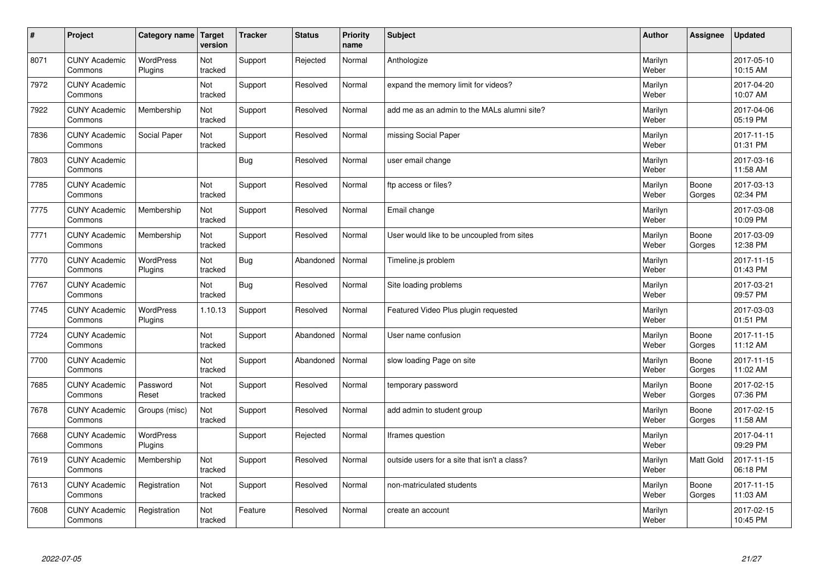| #    | Project                         | Category name Target        | version        | <b>Tracker</b> | <b>Status</b> | <b>Priority</b><br>name | <b>Subject</b>                               | <b>Author</b>    | Assignee         | <b>Updated</b>         |
|------|---------------------------------|-----------------------------|----------------|----------------|---------------|-------------------------|----------------------------------------------|------------------|------------------|------------------------|
| 8071 | <b>CUNY Academic</b><br>Commons | <b>WordPress</b><br>Plugins | Not<br>tracked | Support        | Rejected      | Normal                  | Anthologize                                  | Marilyn<br>Weber |                  | 2017-05-10<br>10:15 AM |
| 7972 | <b>CUNY Academic</b><br>Commons |                             | Not<br>tracked | Support        | Resolved      | Normal                  | expand the memory limit for videos?          | Marilyn<br>Weber |                  | 2017-04-20<br>10:07 AM |
| 7922 | <b>CUNY Academic</b><br>Commons | Membership                  | Not<br>tracked | Support        | Resolved      | Normal                  | add me as an admin to the MALs alumni site?  | Marilyn<br>Weber |                  | 2017-04-06<br>05:19 PM |
| 7836 | <b>CUNY Academic</b><br>Commons | Social Paper                | Not<br>tracked | Support        | Resolved      | Normal                  | missing Social Paper                         | Marilyn<br>Weber |                  | 2017-11-15<br>01:31 PM |
| 7803 | <b>CUNY Academic</b><br>Commons |                             |                | Bug            | Resolved      | Normal                  | user email change                            | Marilyn<br>Weber |                  | 2017-03-16<br>11:58 AM |
| 7785 | <b>CUNY Academic</b><br>Commons |                             | Not<br>tracked | Support        | Resolved      | Normal                  | ftp access or files?                         | Marilyn<br>Weber | Boone<br>Gorges  | 2017-03-13<br>02:34 PM |
| 7775 | <b>CUNY Academic</b><br>Commons | Membership                  | Not<br>tracked | Support        | Resolved      | Normal                  | Email change                                 | Marilyn<br>Weber |                  | 2017-03-08<br>10:09 PM |
| 7771 | <b>CUNY Academic</b><br>Commons | Membership                  | Not<br>tracked | Support        | Resolved      | Normal                  | User would like to be uncoupled from sites   | Marilyn<br>Weber | Boone<br>Gorges  | 2017-03-09<br>12:38 PM |
| 7770 | <b>CUNY Academic</b><br>Commons | <b>WordPress</b><br>Plugins | Not<br>tracked | Bug            | Abandoned     | Normal                  | Timeline.js problem                          | Marilyn<br>Weber |                  | 2017-11-15<br>01:43 PM |
| 7767 | <b>CUNY Academic</b><br>Commons |                             | Not<br>tracked | Bug            | Resolved      | Normal                  | Site loading problems                        | Marilyn<br>Weber |                  | 2017-03-21<br>09:57 PM |
| 7745 | <b>CUNY Academic</b><br>Commons | <b>WordPress</b><br>Plugins | 1.10.13        | Support        | Resolved      | Normal                  | Featured Video Plus plugin requested         | Marilyn<br>Weber |                  | 2017-03-03<br>01:51 PM |
| 7724 | <b>CUNY Academic</b><br>Commons |                             | Not<br>tracked | Support        | Abandoned     | Normal                  | User name confusion                          | Marilyn<br>Weber | Boone<br>Gorges  | 2017-11-15<br>11:12 AM |
| 7700 | <b>CUNY Academic</b><br>Commons |                             | Not<br>tracked | Support        | Abandoned     | Normal                  | slow loading Page on site                    | Marilyn<br>Weber | Boone<br>Gorges  | 2017-11-15<br>11:02 AM |
| 7685 | <b>CUNY Academic</b><br>Commons | Password<br>Reset           | Not<br>tracked | Support        | Resolved      | Normal                  | temporary password                           | Marilyn<br>Weber | Boone<br>Gorges  | 2017-02-15<br>07:36 PM |
| 7678 | <b>CUNY Academic</b><br>Commons | Groups (misc)               | Not<br>tracked | Support        | Resolved      | Normal                  | add admin to student group                   | Marilyn<br>Weber | Boone<br>Gorges  | 2017-02-15<br>11:58 AM |
| 7668 | <b>CUNY Academic</b><br>Commons | <b>WordPress</b><br>Plugins |                | Support        | Rejected      | Normal                  | Iframes question                             | Marilyn<br>Weber |                  | 2017-04-11<br>09:29 PM |
| 7619 | <b>CUNY Academic</b><br>Commons | Membership                  | Not<br>tracked | Support        | Resolved      | Normal                  | outside users for a site that isn't a class? | Marilyn<br>Weber | <b>Matt Gold</b> | 2017-11-15<br>06:18 PM |
| 7613 | <b>CUNY Academic</b><br>Commons | Registration                | Not<br>tracked | Support        | Resolved      | Normal                  | non-matriculated students                    | Marilyn<br>Weber | Boone<br>Gorges  | 2017-11-15<br>11:03 AM |
| 7608 | <b>CUNY Academic</b><br>Commons | Registration                | Not<br>tracked | Feature        | Resolved      | Normal                  | create an account                            | Marilyn<br>Weber |                  | 2017-02-15<br>10:45 PM |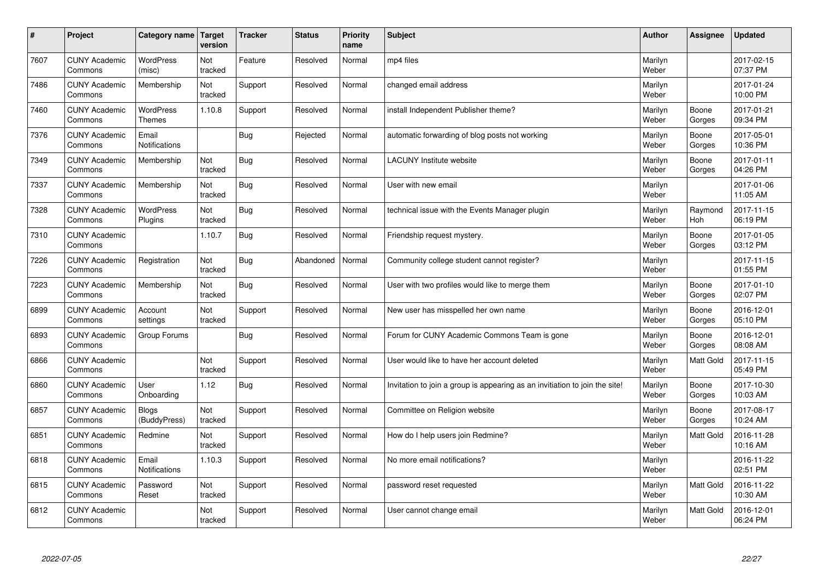| $\vert$ # | Project                         | Category name                 | <b>Target</b><br>version | <b>Tracker</b> | <b>Status</b> | <b>Priority</b><br>name | <b>Subject</b>                                                              | <b>Author</b>    | <b>Assignee</b>  | <b>Updated</b>         |
|-----------|---------------------------------|-------------------------------|--------------------------|----------------|---------------|-------------------------|-----------------------------------------------------------------------------|------------------|------------------|------------------------|
| 7607      | <b>CUNY Academic</b><br>Commons | <b>WordPress</b><br>(misc)    | Not<br>tracked           | Feature        | Resolved      | Normal                  | mp4 files                                                                   | Marilyn<br>Weber |                  | 2017-02-15<br>07:37 PM |
| 7486      | <b>CUNY Academic</b><br>Commons | Membership                    | Not<br>tracked           | Support        | Resolved      | Normal                  | changed email address                                                       | Marilyn<br>Weber |                  | 2017-01-24<br>10:00 PM |
| 7460      | <b>CUNY Academic</b><br>Commons | WordPress<br>Themes           | 1.10.8                   | Support        | Resolved      | Normal                  | install Independent Publisher theme?                                        | Marilyn<br>Weber | Boone<br>Gorges  | 2017-01-21<br>09:34 PM |
| 7376      | <b>CUNY Academic</b><br>Commons | Email<br>Notifications        |                          | <b>Bug</b>     | Rejected      | Normal                  | automatic forwarding of blog posts not working                              | Marilyn<br>Weber | Boone<br>Gorges  | 2017-05-01<br>10:36 PM |
| 7349      | <b>CUNY Academic</b><br>Commons | Membership                    | Not<br>tracked           | <b>Bug</b>     | Resolved      | Normal                  | <b>LACUNY</b> Institute website                                             | Marilyn<br>Weber | Boone<br>Gorges  | 2017-01-11<br>04:26 PM |
| 7337      | <b>CUNY Academic</b><br>Commons | Membership                    | Not<br>tracked           | <b>Bug</b>     | Resolved      | Normal                  | User with new email                                                         | Marilyn<br>Weber |                  | 2017-01-06<br>11:05 AM |
| 7328      | <b>CUNY Academic</b><br>Commons | WordPress<br>Plugins          | Not<br>tracked           | <b>Bug</b>     | Resolved      | Normal                  | technical issue with the Events Manager plugin                              | Marilyn<br>Weber | Raymond<br>Hoh   | 2017-11-15<br>06:19 PM |
| 7310      | <b>CUNY Academic</b><br>Commons |                               | 1.10.7                   | Bug            | Resolved      | Normal                  | Friendship request mystery.                                                 | Marilyn<br>Weber | Boone<br>Gorges  | 2017-01-05<br>03:12 PM |
| 7226      | <b>CUNY Academic</b><br>Commons | Registration                  | Not<br>tracked           | Bug            | Abandoned     | Normal                  | Community college student cannot register?                                  | Marilyn<br>Weber |                  | 2017-11-15<br>01:55 PM |
| 7223      | <b>CUNY Academic</b><br>Commons | Membership                    | Not<br>tracked           | Bug            | Resolved      | Normal                  | User with two profiles would like to merge them                             | Marilyn<br>Weber | Boone<br>Gorges  | 2017-01-10<br>02:07 PM |
| 6899      | <b>CUNY Academic</b><br>Commons | Account<br>settings           | Not<br>tracked           | Support        | Resolved      | Normal                  | New user has misspelled her own name                                        | Marilyn<br>Weber | Boone<br>Gorges  | 2016-12-01<br>05:10 PM |
| 6893      | <b>CUNY Academic</b><br>Commons | Group Forums                  |                          | <b>Bug</b>     | Resolved      | Normal                  | Forum for CUNY Academic Commons Team is gone                                | Marilyn<br>Weber | Boone<br>Gorges  | 2016-12-01<br>08:08 AM |
| 6866      | <b>CUNY Academic</b><br>Commons |                               | Not<br>tracked           | Support        | Resolved      | Normal                  | User would like to have her account deleted                                 | Marilyn<br>Weber | Matt Gold        | 2017-11-15<br>05:49 PM |
| 6860      | <b>CUNY Academic</b><br>Commons | User<br>Onboarding            | 1.12                     | <b>Bug</b>     | Resolved      | Normal                  | Invitation to join a group is appearing as an invitiation to join the site! | Marilyn<br>Weber | Boone<br>Gorges  | 2017-10-30<br>10:03 AM |
| 6857      | <b>CUNY Academic</b><br>Commons | <b>Blogs</b><br>(BuddyPress)  | Not<br>tracked           | Support        | Resolved      | Normal                  | Committee on Religion website                                               | Marilyn<br>Weber | Boone<br>Gorges  | 2017-08-17<br>10:24 AM |
| 6851      | <b>CUNY Academic</b><br>Commons | Redmine                       | Not<br>tracked           | Support        | Resolved      | Normal                  | How do I help users join Redmine?                                           | Marilyn<br>Weber | <b>Matt Gold</b> | 2016-11-28<br>10:16 AM |
| 6818      | <b>CUNY Academic</b><br>Commons | Email<br><b>Notifications</b> | 1.10.3                   | Support        | Resolved      | Normal                  | No more email notifications?                                                | Marilyn<br>Weber |                  | 2016-11-22<br>02:51 PM |
| 6815      | <b>CUNY Academic</b><br>Commons | Password<br>Reset             | Not<br>tracked           | Support        | Resolved      | Normal                  | password reset requested                                                    | Marilyn<br>Weber | Matt Gold        | 2016-11-22<br>10:30 AM |
| 6812      | <b>CUNY Academic</b><br>Commons |                               | Not<br>tracked           | Support        | Resolved      | Normal                  | User cannot change email                                                    | Marilyn<br>Weber | <b>Matt Gold</b> | 2016-12-01<br>06:24 PM |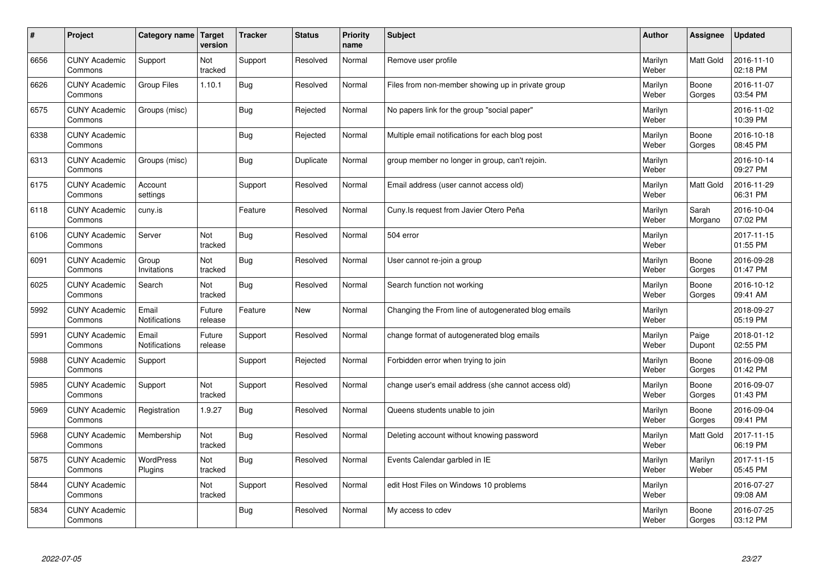| $\sharp$ | Project                         | Category name               | <b>Target</b><br>version | <b>Tracker</b> | <b>Status</b> | <b>Priority</b><br>name | <b>Subject</b>                                      | <b>Author</b>    | Assignee         | <b>Updated</b>         |
|----------|---------------------------------|-----------------------------|--------------------------|----------------|---------------|-------------------------|-----------------------------------------------------|------------------|------------------|------------------------|
| 6656     | <b>CUNY Academic</b><br>Commons | Support                     | Not<br>tracked           | Support        | Resolved      | Normal                  | Remove user profile                                 | Marilyn<br>Weber | <b>Matt Gold</b> | 2016-11-10<br>02:18 PM |
| 6626     | <b>CUNY Academic</b><br>Commons | <b>Group Files</b>          | 1.10.1                   | Bug            | Resolved      | Normal                  | Files from non-member showing up in private group   | Marilyn<br>Weber | Boone<br>Gorges  | 2016-11-07<br>03:54 PM |
| 6575     | <b>CUNY Academic</b><br>Commons | Groups (misc)               |                          | Bug            | Rejected      | Normal                  | No papers link for the group "social paper"         | Marilyn<br>Weber |                  | 2016-11-02<br>10:39 PM |
| 6338     | <b>CUNY Academic</b><br>Commons |                             |                          | Bug            | Rejected      | Normal                  | Multiple email notifications for each blog post     | Marilyn<br>Weber | Boone<br>Gorges  | 2016-10-18<br>08:45 PM |
| 6313     | <b>CUNY Academic</b><br>Commons | Groups (misc)               |                          | Bug            | Duplicate     | Normal                  | group member no longer in group, can't rejoin.      | Marilyn<br>Weber |                  | 2016-10-14<br>09:27 PM |
| 6175     | <b>CUNY Academic</b><br>Commons | Account<br>settings         |                          | Support        | Resolved      | Normal                  | Email address (user cannot access old)              | Marilyn<br>Weber | Matt Gold        | 2016-11-29<br>06:31 PM |
| 6118     | <b>CUNY Academic</b><br>Commons | cuny.is                     |                          | Feature        | Resolved      | Normal                  | Cuny.Is request from Javier Otero Peña              | Marilyn<br>Weber | Sarah<br>Morgano | 2016-10-04<br>07:02 PM |
| 6106     | <b>CUNY Academic</b><br>Commons | Server                      | Not<br>tracked           | Bug            | Resolved      | Normal                  | 504 error                                           | Marilyn<br>Weber |                  | 2017-11-15<br>01:55 PM |
| 6091     | <b>CUNY Academic</b><br>Commons | Group<br>Invitations        | Not<br>tracked           | Bug            | Resolved      | Normal                  | User cannot re-join a group                         | Marilyn<br>Weber | Boone<br>Gorges  | 2016-09-28<br>01:47 PM |
| 6025     | <b>CUNY Academic</b><br>Commons | Search                      | Not<br>tracked           | Bug            | Resolved      | Normal                  | Search function not working                         | Marilyn<br>Weber | Boone<br>Gorges  | 2016-10-12<br>09:41 AM |
| 5992     | <b>CUNY Academic</b><br>Commons | Email<br>Notifications      | Future<br>release        | Feature        | <b>New</b>    | Normal                  | Changing the From line of autogenerated blog emails | Marilyn<br>Weber |                  | 2018-09-27<br>05:19 PM |
| 5991     | <b>CUNY Academic</b><br>Commons | Email<br>Notifications      | Future<br>release        | Support        | Resolved      | Normal                  | change format of autogenerated blog emails          | Marilyn<br>Weber | Paige<br>Dupont  | 2018-01-12<br>02:55 PM |
| 5988     | <b>CUNY Academic</b><br>Commons | Support                     |                          | Support        | Rejected      | Normal                  | Forbidden error when trying to join                 | Marilyn<br>Weber | Boone<br>Gorges  | 2016-09-08<br>01:42 PM |
| 5985     | <b>CUNY Academic</b><br>Commons | Support                     | Not<br>tracked           | Support        | Resolved      | Normal                  | change user's email address (she cannot access old) | Marilyn<br>Weber | Boone<br>Gorges  | 2016-09-07<br>01:43 PM |
| 5969     | <b>CUNY Academic</b><br>Commons | Registration                | 1.9.27                   | Bug            | Resolved      | Normal                  | Queens students unable to join                      | Marilyn<br>Weber | Boone<br>Gorges  | 2016-09-04<br>09:41 PM |
| 5968     | <b>CUNY Academic</b><br>Commons | Membership                  | Not<br>tracked           | <b>Bug</b>     | Resolved      | Normal                  | Deleting account without knowing password           | Marilyn<br>Weber | <b>Matt Gold</b> | 2017-11-15<br>06:19 PM |
| 5875     | <b>CUNY Academic</b><br>Commons | <b>WordPress</b><br>Plugins | Not<br>tracked           | Bug            | Resolved      | Normal                  | Events Calendar garbled in IE                       | Marilyn<br>Weber | Marilyn<br>Weber | 2017-11-15<br>05:45 PM |
| 5844     | <b>CUNY Academic</b><br>Commons |                             | Not<br>tracked           | Support        | Resolved      | Normal                  | edit Host Files on Windows 10 problems              | Marilyn<br>Weber |                  | 2016-07-27<br>09:08 AM |
| 5834     | <b>CUNY Academic</b><br>Commons |                             |                          | Bug            | Resolved      | Normal                  | My access to cdev                                   | Marilyn<br>Weber | Boone<br>Gorges  | 2016-07-25<br>03:12 PM |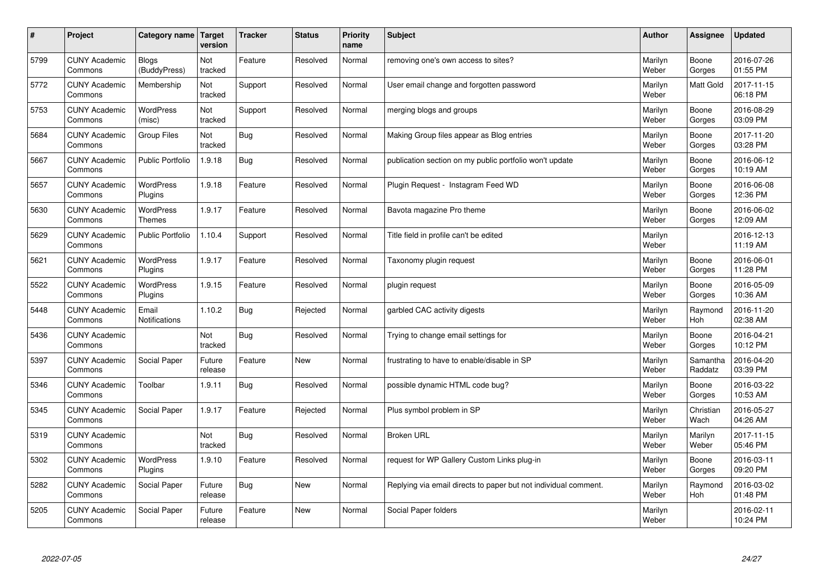| $\sharp$ | Project                         | Category name   Target            | version           | <b>Tracker</b> | <b>Status</b> | <b>Priority</b><br>name | <b>Subject</b>                                                  | <b>Author</b>    | Assignee              | <b>Updated</b>         |
|----------|---------------------------------|-----------------------------------|-------------------|----------------|---------------|-------------------------|-----------------------------------------------------------------|------------------|-----------------------|------------------------|
| 5799     | <b>CUNY Academic</b><br>Commons | <b>Blogs</b><br>(BuddyPress)      | Not<br>tracked    | Feature        | Resolved      | Normal                  | removing one's own access to sites?                             | Marilyn<br>Weber | Boone<br>Gorges       | 2016-07-26<br>01:55 PM |
| 5772     | <b>CUNY Academic</b><br>Commons | Membership                        | Not<br>tracked    | Support        | Resolved      | Normal                  | User email change and forgotten password                        | Marilyn<br>Weber | <b>Matt Gold</b>      | 2017-11-15<br>06:18 PM |
| 5753     | <b>CUNY Academic</b><br>Commons | <b>WordPress</b><br>(misc)        | Not<br>tracked    | Support        | Resolved      | Normal                  | merging blogs and groups                                        | Marilyn<br>Weber | Boone<br>Gorges       | 2016-08-29<br>03:09 PM |
| 5684     | <b>CUNY Academic</b><br>Commons | Group Files                       | Not<br>tracked    | Bug            | Resolved      | Normal                  | Making Group files appear as Blog entries                       | Marilyn<br>Weber | Boone<br>Gorges       | 2017-11-20<br>03:28 PM |
| 5667     | <b>CUNY Academic</b><br>Commons | <b>Public Portfolio</b>           | 1.9.18            | Bug            | Resolved      | Normal                  | publication section on my public portfolio won't update         | Marilyn<br>Weber | Boone<br>Gorges       | 2016-06-12<br>10:19 AM |
| 5657     | <b>CUNY Academic</b><br>Commons | WordPress<br>Plugins              | 1.9.18            | Feature        | Resolved      | Normal                  | Plugin Request - Instagram Feed WD                              | Marilyn<br>Weber | Boone<br>Gorges       | 2016-06-08<br>12:36 PM |
| 5630     | <b>CUNY Academic</b><br>Commons | <b>WordPress</b><br><b>Themes</b> | 1.9.17            | Feature        | Resolved      | Normal                  | Bavota magazine Pro theme                                       | Marilyn<br>Weber | Boone<br>Gorges       | 2016-06-02<br>12:09 AM |
| 5629     | <b>CUNY Academic</b><br>Commons | <b>Public Portfolio</b>           | 1.10.4            | Support        | Resolved      | Normal                  | Title field in profile can't be edited                          | Marilyn<br>Weber |                       | 2016-12-13<br>11:19 AM |
| 5621     | <b>CUNY Academic</b><br>Commons | <b>WordPress</b><br>Plugins       | 1.9.17            | Feature        | Resolved      | Normal                  | Taxonomy plugin request                                         | Marilyn<br>Weber | Boone<br>Gorges       | 2016-06-01<br>11:28 PM |
| 5522     | <b>CUNY Academic</b><br>Commons | WordPress<br>Plugins              | 1.9.15            | Feature        | Resolved      | Normal                  | plugin request                                                  | Marilyn<br>Weber | Boone<br>Gorges       | 2016-05-09<br>10:36 AM |
| 5448     | <b>CUNY Academic</b><br>Commons | Email<br>Notifications            | 1.10.2            | <b>Bug</b>     | Rejected      | Normal                  | garbled CAC activity digests                                    | Marilyn<br>Weber | Raymond<br>Hoh        | 2016-11-20<br>02:38 AM |
| 5436     | <b>CUNY Academic</b><br>Commons |                                   | Not<br>tracked    | <b>Bug</b>     | Resolved      | Normal                  | Trying to change email settings for                             | Marilyn<br>Weber | Boone<br>Gorges       | 2016-04-21<br>10:12 PM |
| 5397     | <b>CUNY Academic</b><br>Commons | Social Paper                      | Future<br>release | Feature        | <b>New</b>    | Normal                  | frustrating to have to enable/disable in SP                     | Marilyn<br>Weber | Samantha<br>Raddatz   | 2016-04-20<br>03:39 PM |
| 5346     | <b>CUNY Academic</b><br>Commons | Toolbar                           | 1.9.11            | Bug            | Resolved      | Normal                  | possible dynamic HTML code bug?                                 | Marilyn<br>Weber | Boone<br>Gorges       | 2016-03-22<br>10:53 AM |
| 5345     | <b>CUNY Academic</b><br>Commons | Social Paper                      | 1.9.17            | Feature        | Rejected      | Normal                  | Plus symbol problem in SP                                       | Marilyn<br>Weber | Christian<br>Wach     | 2016-05-27<br>04:26 AM |
| 5319     | <b>CUNY Academic</b><br>Commons |                                   | Not<br>tracked    | <b>Bug</b>     | Resolved      | Normal                  | <b>Broken URL</b>                                               | Marilyn<br>Weber | Marilyn<br>Weber      | 2017-11-15<br>05:46 PM |
| 5302     | <b>CUNY Academic</b><br>Commons | WordPress<br>Plugins              | 1.9.10            | Feature        | Resolved      | Normal                  | request for WP Gallery Custom Links plug-in                     | Marilyn<br>Weber | Boone<br>Gorges       | 2016-03-11<br>09:20 PM |
| 5282     | <b>CUNY Academic</b><br>Commons | Social Paper                      | Future<br>release | Bug            | New           | Normal                  | Replying via email directs to paper but not individual comment. | Marilyn<br>Weber | Raymond<br><b>Hoh</b> | 2016-03-02<br>01:48 PM |
| 5205     | <b>CUNY Academic</b><br>Commons | Social Paper                      | Future<br>release | Feature        | <b>New</b>    | Normal                  | Social Paper folders                                            | Marilyn<br>Weber |                       | 2016-02-11<br>10:24 PM |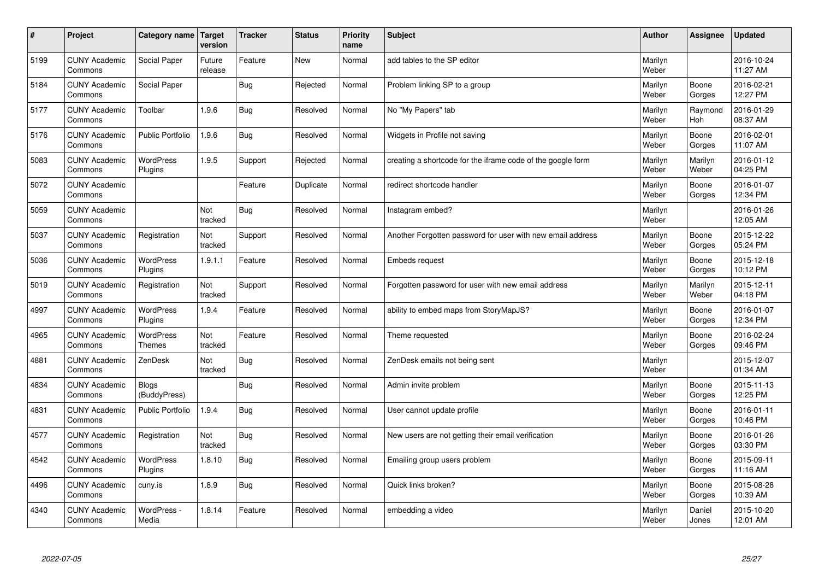| $\pmb{\#}$ | Project                         | Category name                     | Target<br>version | <b>Tracker</b> | <b>Status</b> | <b>Priority</b><br>name | <b>Subject</b>                                              | <b>Author</b>    | Assignee              | <b>Updated</b>         |
|------------|---------------------------------|-----------------------------------|-------------------|----------------|---------------|-------------------------|-------------------------------------------------------------|------------------|-----------------------|------------------------|
| 5199       | <b>CUNY Academic</b><br>Commons | Social Paper                      | Future<br>release | Feature        | <b>New</b>    | Normal                  | add tables to the SP editor                                 | Marilyn<br>Weber |                       | 2016-10-24<br>11:27 AM |
| 5184       | <b>CUNY Academic</b><br>Commons | Social Paper                      |                   | <b>Bug</b>     | Rejected      | Normal                  | Problem linking SP to a group                               | Marilyn<br>Weber | Boone<br>Gorges       | 2016-02-21<br>12:27 PM |
| 5177       | <b>CUNY Academic</b><br>Commons | Toolbar                           | 1.9.6             | <b>Bug</b>     | Resolved      | Normal                  | No "My Papers" tab                                          | Marilyn<br>Weber | Raymond<br><b>Hoh</b> | 2016-01-29<br>08:37 AM |
| 5176       | <b>CUNY Academic</b><br>Commons | <b>Public Portfolio</b>           | 1.9.6             | <b>Bug</b>     | Resolved      | Normal                  | Widgets in Profile not saving                               | Marilyn<br>Weber | Boone<br>Gorges       | 2016-02-01<br>11:07 AM |
| 5083       | <b>CUNY Academic</b><br>Commons | <b>WordPress</b><br>Plugins       | 1.9.5             | Support        | Rejected      | Normal                  | creating a shortcode for the iframe code of the google form | Marilyn<br>Weber | Marilyn<br>Weber      | 2016-01-12<br>04:25 PM |
| 5072       | <b>CUNY Academic</b><br>Commons |                                   |                   | Feature        | Duplicate     | Normal                  | redirect shortcode handler                                  | Marilyn<br>Weber | Boone<br>Gorges       | 2016-01-07<br>12:34 PM |
| 5059       | <b>CUNY Academic</b><br>Commons |                                   | Not<br>tracked    | <b>Bug</b>     | Resolved      | Normal                  | Instagram embed?                                            | Marilyn<br>Weber |                       | 2016-01-26<br>12:05 AM |
| 5037       | <b>CUNY Academic</b><br>Commons | Registration                      | Not<br>tracked    | Support        | Resolved      | Normal                  | Another Forgotten password for user with new email address  | Marilyn<br>Weber | Boone<br>Gorges       | 2015-12-22<br>05:24 PM |
| 5036       | <b>CUNY Academic</b><br>Commons | <b>WordPress</b><br>Plugins       | 1.9.1.1           | Feature        | Resolved      | Normal                  | Embeds request                                              | Marilyn<br>Weber | Boone<br>Gorges       | 2015-12-18<br>10:12 PM |
| 5019       | <b>CUNY Academic</b><br>Commons | Registration                      | Not<br>tracked    | Support        | Resolved      | Normal                  | Forgotten password for user with new email address          | Marilyn<br>Weber | Marilyn<br>Weber      | 2015-12-11<br>04:18 PM |
| 4997       | <b>CUNY Academic</b><br>Commons | WordPress<br>Plugins              | 1.9.4             | Feature        | Resolved      | Normal                  | ability to embed maps from StoryMapJS?                      | Marilyn<br>Weber | Boone<br>Gorges       | 2016-01-07<br>12:34 PM |
| 4965       | <b>CUNY Academic</b><br>Commons | <b>WordPress</b><br><b>Themes</b> | Not<br>tracked    | Feature        | Resolved      | Normal                  | Theme requested                                             | Marilyn<br>Weber | Boone<br>Gorges       | 2016-02-24<br>09:46 PM |
| 4881       | <b>CUNY Academic</b><br>Commons | ZenDesk                           | Not<br>tracked    | Bug            | Resolved      | Normal                  | ZenDesk emails not being sent                               | Marilyn<br>Weber |                       | 2015-12-07<br>01:34 AM |
| 4834       | <b>CUNY Academic</b><br>Commons | Blogs<br>(BuddyPress)             |                   | <b>Bug</b>     | Resolved      | Normal                  | Admin invite problem                                        | Marilyn<br>Weber | Boone<br>Gorges       | 2015-11-13<br>12:25 PM |
| 4831       | <b>CUNY Academic</b><br>Commons | <b>Public Portfolio</b>           | 1.9.4             | Bug            | Resolved      | Normal                  | User cannot update profile                                  | Marilyn<br>Weber | Boone<br>Gorges       | 2016-01-11<br>10:46 PM |
| 4577       | <b>CUNY Academic</b><br>Commons | Registration                      | Not<br>tracked    | <b>Bug</b>     | Resolved      | Normal                  | New users are not getting their email verification          | Marilyn<br>Weber | Boone<br>Gorges       | 2016-01-26<br>03:30 PM |
| 4542       | <b>CUNY Academic</b><br>Commons | WordPress<br>Plugins              | 1.8.10            | <b>Bug</b>     | Resolved      | Normal                  | Emailing group users problem                                | Marilyn<br>Weber | Boone<br>Gorges       | 2015-09-11<br>11:16 AM |
| 4496       | <b>CUNY Academic</b><br>Commons | cuny.is                           | 1.8.9             | Bug            | Resolved      | Normal                  | Quick links broken?                                         | Marilyn<br>Weber | Boone<br>Gorges       | 2015-08-28<br>10:39 AM |
| 4340       | <b>CUNY Academic</b><br>Commons | WordPress -<br>Media              | 1.8.14            | Feature        | Resolved      | Normal                  | embedding a video                                           | Marilyn<br>Weber | Daniel<br>Jones       | 2015-10-20<br>12:01 AM |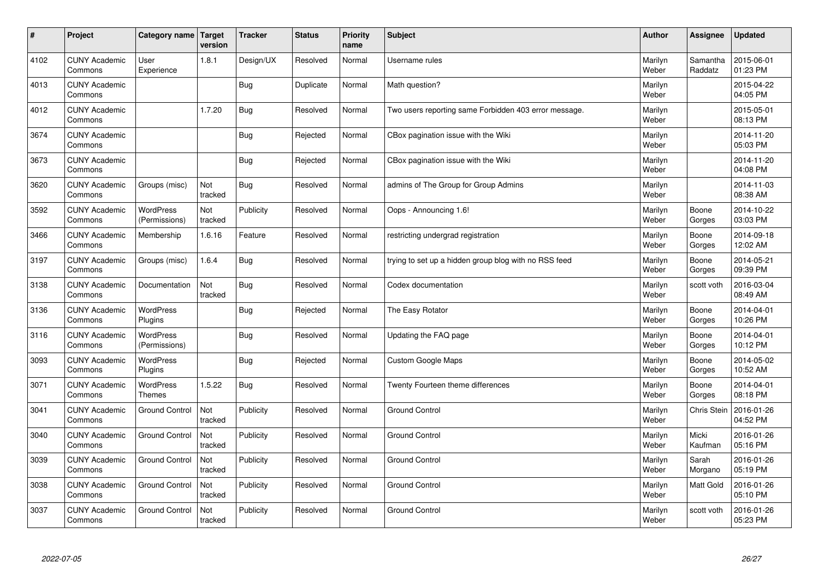| $\sharp$ | Project                         | <b>Category name</b>              | Target<br>version | <b>Tracker</b> | <b>Status</b> | <b>Priority</b><br>name | <b>Subject</b>                                        | <b>Author</b>    | Assignee            | <b>Updated</b>         |
|----------|---------------------------------|-----------------------------------|-------------------|----------------|---------------|-------------------------|-------------------------------------------------------|------------------|---------------------|------------------------|
| 4102     | <b>CUNY Academic</b><br>Commons | User<br>Experience                | 1.8.1             | Design/UX      | Resolved      | Normal                  | Username rules                                        | Marilyn<br>Weber | Samantha<br>Raddatz | 2015-06-01<br>01:23 PM |
| 4013     | <b>CUNY Academic</b><br>Commons |                                   |                   | Bug            | Duplicate     | Normal                  | Math question?                                        | Marilyn<br>Weber |                     | 2015-04-22<br>04:05 PM |
| 4012     | <b>CUNY Academic</b><br>Commons |                                   | 1.7.20            | <b>Bug</b>     | Resolved      | Normal                  | Two users reporting same Forbidden 403 error message. | Marilyn<br>Weber |                     | 2015-05-01<br>08:13 PM |
| 3674     | <b>CUNY Academic</b><br>Commons |                                   |                   | Bug            | Rejected      | Normal                  | CBox pagination issue with the Wiki                   | Marilyn<br>Weber |                     | 2014-11-20<br>05:03 PM |
| 3673     | <b>CUNY Academic</b><br>Commons |                                   |                   | Bug            | Rejected      | Normal                  | CBox pagination issue with the Wiki                   | Marilyn<br>Weber |                     | 2014-11-20<br>04:08 PM |
| 3620     | <b>CUNY Academic</b><br>Commons | Groups (misc)                     | Not<br>tracked    | Bug            | Resolved      | Normal                  | admins of The Group for Group Admins                  | Marilyn<br>Weber |                     | 2014-11-03<br>08:38 AM |
| 3592     | <b>CUNY Academic</b><br>Commons | <b>WordPress</b><br>(Permissions) | Not<br>tracked    | Publicity      | Resolved      | Normal                  | Oops - Announcing 1.6!                                | Marilyn<br>Weber | Boone<br>Gorges     | 2014-10-22<br>03:03 PM |
| 3466     | <b>CUNY Academic</b><br>Commons | Membership                        | 1.6.16            | Feature        | Resolved      | Normal                  | restricting undergrad registration                    | Marilyn<br>Weber | Boone<br>Gorges     | 2014-09-18<br>12:02 AM |
| 3197     | <b>CUNY Academic</b><br>Commons | Groups (misc)                     | 1.6.4             | Bug            | Resolved      | Normal                  | trying to set up a hidden group blog with no RSS feed | Marilyn<br>Weber | Boone<br>Gorges     | 2014-05-21<br>09:39 PM |
| 3138     | <b>CUNY Academic</b><br>Commons | Documentation                     | Not<br>tracked    | <b>Bug</b>     | Resolved      | Normal                  | Codex documentation                                   | Marilyn<br>Weber | scott voth          | 2016-03-04<br>08:49 AM |
| 3136     | <b>CUNY Academic</b><br>Commons | <b>WordPress</b><br>Plugins       |                   | <b>Bug</b>     | Rejected      | Normal                  | The Easy Rotator                                      | Marilyn<br>Weber | Boone<br>Gorges     | 2014-04-01<br>10:26 PM |
| 3116     | <b>CUNY Academic</b><br>Commons | <b>WordPress</b><br>(Permissions) |                   | <b>Bug</b>     | Resolved      | Normal                  | Updating the FAQ page                                 | Marilyn<br>Weber | Boone<br>Gorges     | 2014-04-01<br>10:12 PM |
| 3093     | <b>CUNY Academic</b><br>Commons | <b>WordPress</b><br>Plugins       |                   | <b>Bug</b>     | Rejected      | Normal                  | Custom Google Maps                                    | Marilyn<br>Weber | Boone<br>Gorges     | 2014-05-02<br>10:52 AM |
| 3071     | <b>CUNY Academic</b><br>Commons | <b>WordPress</b><br><b>Themes</b> | 1.5.22            | Bug            | Resolved      | Normal                  | Twenty Fourteen theme differences                     | Marilyn<br>Weber | Boone<br>Gorges     | 2014-04-01<br>08:18 PM |
| 3041     | <b>CUNY Academic</b><br>Commons | <b>Ground Control</b>             | Not<br>tracked    | Publicity      | Resolved      | Normal                  | <b>Ground Control</b>                                 | Marilyn<br>Weber | Chris Stein         | 2016-01-26<br>04:52 PM |
| 3040     | <b>CUNY Academic</b><br>Commons | <b>Ground Control</b>             | Not<br>tracked    | Publicity      | Resolved      | Normal                  | <b>Ground Control</b>                                 | Marilyn<br>Weber | Micki<br>Kaufman    | 2016-01-26<br>05:16 PM |
| 3039     | <b>CUNY Academic</b><br>Commons | <b>Ground Control</b>             | Not<br>tracked    | Publicity      | Resolved      | Normal                  | <b>Ground Control</b>                                 | Marilyn<br>Weber | Sarah<br>Morgano    | 2016-01-26<br>05:19 PM |
| 3038     | <b>CUNY Academic</b><br>Commons | <b>Ground Control</b>             | Not<br>tracked    | Publicity      | Resolved      | Normal                  | <b>Ground Control</b>                                 | Marilyn<br>Weber | Matt Gold           | 2016-01-26<br>05:10 PM |
| 3037     | <b>CUNY Academic</b><br>Commons | <b>Ground Control</b>             | Not<br>tracked    | Publicity      | Resolved      | Normal                  | <b>Ground Control</b>                                 | Marilyn<br>Weber | scott voth          | 2016-01-26<br>05:23 PM |